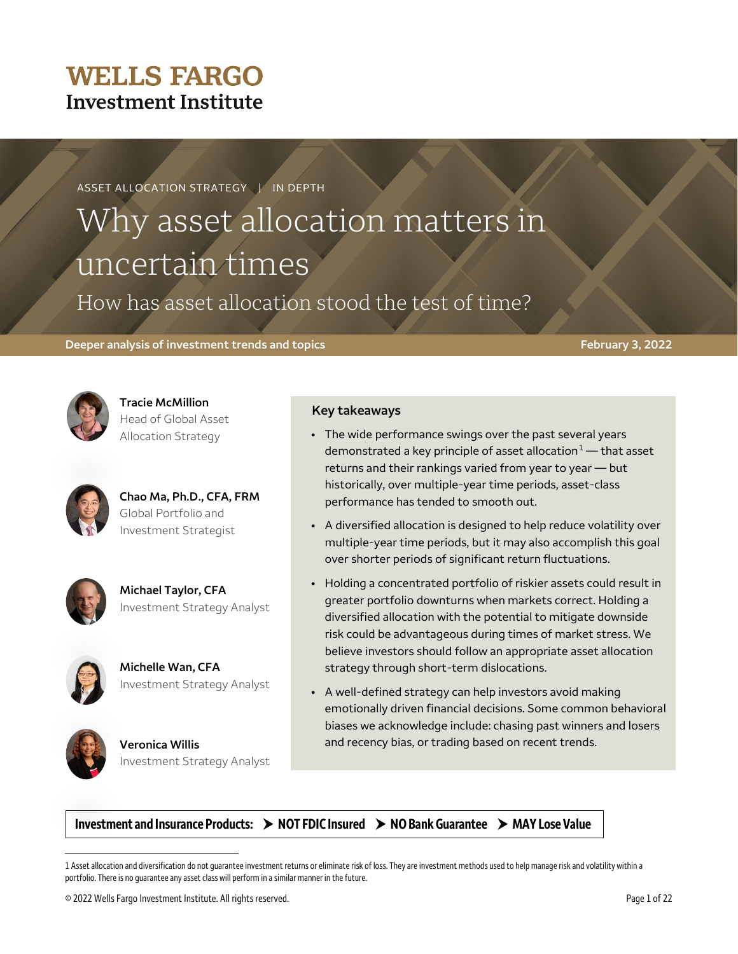## **WELLS FARGO Investment Institute**

#### **ASSET ALLOCATION STRATEGY | IN DEPTH**

# Why asset allocation matters in uncertain times

How has asset allocation stood the test of time?

#### **Deeper analysis of investment trends and topics February 3, 2022**



**Tracie McMillion** Head of Global Asset Allocation Strategy



**Chao Ma, Ph.D., CFA, FRM** Global Portfolio and Investment Strategist



**Michael Taylor, CFA** Investment Strategy Analyst



**Michelle Wan, CFA** Investment Strategy Analyst



 $\overline{a}$ 

**Veronica Willis** Investment Strategy Analyst

#### **Key takeaways**

- The wide performance swings over the past several years demonstrated a key principle of asset allocation $1 1 -$  that asset returns and their rankings varied from year to year — but historically, over multiple-year time periods, asset-class performance has tended to smooth out.
- A diversified allocation is designed to help reduce volatility over multiple-year time periods, but it may also accomplish this goal over shorter periods of significant return fluctuations.
- Holding a concentrated portfolio of riskier assets could result in greater portfolio downturns when markets correct. Holding a diversified allocation with the potential to mitigate downside risk could be advantageous during times of market stress. We believe investors should follow an appropriate asset allocation strategy through short-term dislocations.
- A well-defined strategy can help investors avoid making emotionally driven financial decisions. Some common behavioral biases we acknowledge include: chasing past winners and losers and recency bias, or trading based on recent trends.

Investment and Insurance Products:  $\rightarrow$  NOT FDIC Insured  $\rightarrow$  NO Bank Guarantee  $\rightarrow$  MAY Lose Value

<span id="page-0-0"></span>1 Asset allocation and diversification do not guarantee investment returns or eliminate risk of loss. They are investment methods used to help manage risk and volatility within a portfolio. There is no guarantee any asset class will perform in a similar manner in the future.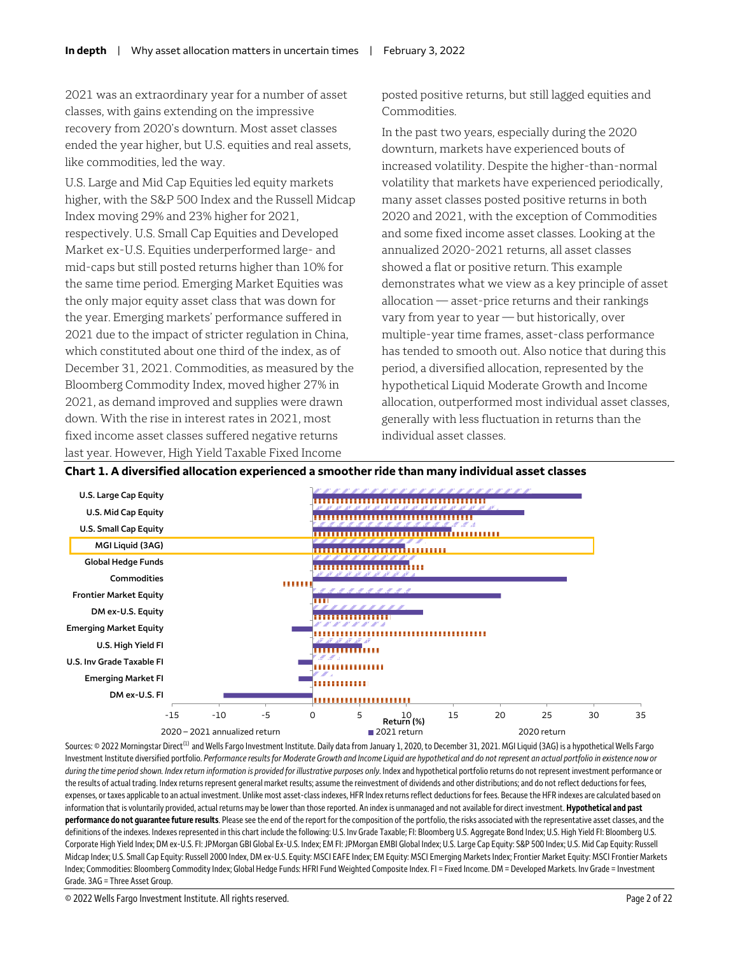2021 was an extraordinary year for a number of asset classes, with gains extending on the impressive recovery from 2020's downturn. Most asset classes ended the year higher, but U.S. equities and real assets, like commodities, led the way.

U.S. Large and Mid Cap Equities led equity markets higher, with the S&P 500 Index and the Russell Midcap Index moving 29% and 23% higher for 2021, respectively. U.S. Small Cap Equities and Developed Market ex-U.S. Equities underperformed large- and mid-caps but still posted returns higher than 10% for the same time period. Emerging Market Equities was the only major equity asset class that was down for the year. Emerging markets' performance suffered in 2021 due to the impact of stricter regulation in China, which constituted about one third of the index, as of December 31, 2021. Commodities, as measured by the Bloomberg Commodity Index, moved higher 27% in 2021, as demand improved and supplies were drawn down. With the rise in interest rates in 2021, most fixed income asset classes suffered negative returns last year. However, High Yield Taxable Fixed Income

posted positive returns, but still lagged equities and Commodities.

In the past two years, especially during the 2020 downturn, markets have experienced bouts of increased volatility. Despite the higher-than-normal volatility that markets have experienced periodically, many asset classes posted positive returns in both 2020 and 2021, with the exception of Commodities and some fixed income asset classes. Looking at the annualized 2020-2021 returns, all asset classes showed a flat or positive return. This example demonstrates what we view as a key principle of asset allocation — asset-price returns and their rankings vary from year to year — but historically, over multiple-year time frames, asset-class performance has tended to smooth out. Also notice that during this period, a diversified allocation, represented by the hypothetical Liquid Moderate Growth and Income allocation, outperformed most individual asset classes, generally with less fluctuation in returns than the individual asset classes.



#### **Chart 1. A diversified allocation experienced a smoother ride than many individual asset classes**

Sources: © 2022 Morningstar Direct<sup>(1)</sup> and Wells Fargo Investment Institute. Daily data from January 1, 2020, to December 31, 2021. MGI Liquid (3AG) is a hypothetical Wells Fargo Investment Institute diversified portfolio. Performance results for Moderate Growth and Income Liquid are hypothetical and do not represent an actual portfolio in existence now or *during the time period shown. Index return information is provided for illustrative purposes only*. Index and hypothetical portfolio returns do not represent investment performance or the results of actual trading. Index returns represent general market results; assume the reinvestment of dividends and other distributions; and do not reflect deductions for fees, expenses, or taxes applicable to an actual investment. Unlike most asset-class indexes, HFR Index returns reflect deductions for fees. Because the HFR indexes are calculated based on information that is voluntarily provided, actual returns may be lower than those reported. An index is unmanaged and not available for direct investment. **Hypothetical and past performance do not guarantee future results**. Please see the end of the report for the composition of the portfolio, the risks associated with the representative asset classes, and the definitions of the indexes. Indexes represented in this chart include the following: U.S. Inv Grade Taxable; FI: Bloomberg U.S. Aggregate Bond Index; U.S. High Yield FI: Bloomberg U.S. Corporate High Yield Index; DM ex-U.S. FI: JPMorgan GBI Global Ex-U.S. Index; EMFI: JPMorgan EMBI Global Index; U.S. Large Cap Equity: S&P 500 Index; U.S. Mid Cap Equity: Russell Midcap Index; U.S. Small Cap Equity: Russell 2000 Index, DM ex-U.S. Equity: MSCI EAFE Index; EMEquity: MSCI Emerging Markets Index; Frontier Market Equity:MSCI Frontier Markets Index; Commodities: Bloomberg Commodity Index; Global Hedge Funds: HFRI Fund Weighted Composite Index. FI = Fixed Income. DM = Developed Markets. Inv Grade = Investment Grade. 3AG = Three Asset Group.

© 2022 Wells Fargo Investment Institute. All rights reserved. Page 2 of 22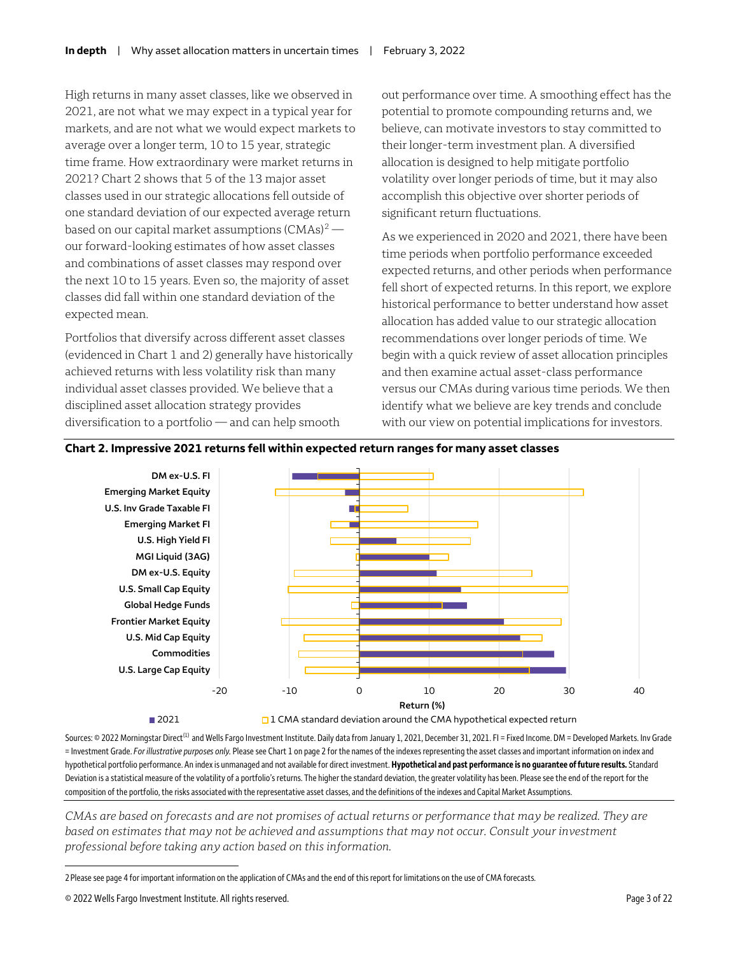High returns in many asset classes, like we observed in 2021, are not what we may expect in a typical year for markets, and are not what we would expect markets to average over a longer term, 10 to 15 year, strategic time frame. How extraordinary were market returns in 2021? Chart 2 shows that 5 of the 13 major asset classes used in our strategic allocations fell outside of one standard deviation of our expected average return based on our capital market assumptions  $(CMAs)^2$  $(CMAs)^2$  our forward-looking estimates of how asset classes and combinations of asset classes may respond over the next 10 to 15 years. Even so, the majority of asset classes did fall within one standard deviation of the expected mean.

Portfolios that diversify across different asset classes (evidenced in Chart 1 and 2) generally have historically achieved returns with less volatility risk than many individual asset classes provided. We believe that a disciplined asset allocation strategy provides diversification to a portfolio — and can help smooth

out performance over time. A smoothing effect has the potential to promote compounding returns and, we believe, can motivate investors to stay committed to their longer-term investment plan. A diversified allocation is designed to help mitigate portfolio volatility over longer periods of time, but it may also accomplish this objective over shorter periods of significant return fluctuations.

As we experienced in 2020 and 2021, there have been time periods when portfolio performance exceeded expected returns, and other periods when performance fell short of expected returns. In this report, we explore historical performance to better understand how asset allocation has added value to our strategic allocation recommendations over longer periods of time. We begin with a quick review of asset allocation principles and then examine actual asset-class performance versus our CMAs during various time periods. We then identify what we believe are key trends and conclude with our view on potential implications for investors.

#### **Chart 2. Impressive 2021 returns fell within expected return ranges for many asset classes**



■ 2021 2021 1 CMA standard deviation around the CMA hypothetical expected return

Sources: © 2022 Morningstar Direct<sup>(1)</sup> and Wells Fargo Investment Institute. Daily data from January 1, 2021, December 31, 2021. FI = Fixed Income. DM = Developed Markets. Inv Grade = Investment Grade. *For illustrative purposes only.* Please see Chart 1 on page 2 for the names of the indexesrepresenting the asset classes and important information on index and hypothetical portfolio performance. An index is unmanaged and not available for direct investment. **Hypothetical and past performance is no guarantee of future results.** Standard Deviation is a statistical measure of the volatility of a portfolio's returns. The higher the standard deviation, the greater volatility has been. Please see the end of the report for the composition of the portfolio, the risks associated with the representative asset classes, and the definitions of the indexesand Capital Market Assumptions.

*CMAs are based on forecasts and are not promises of actual returns or performance that may be realized. They are based on estimates that may not be achieved and assumptions that may not occur. Consult your investment professional before taking any action based on this information.*

<span id="page-2-0"></span>2Please see page 4 for important information on the application of CMAs and the end of this report for limitations on the use of CMA forecasts.

© 2022 Wells Fargo Investment Institute. All rights reserved. Page 3 of 22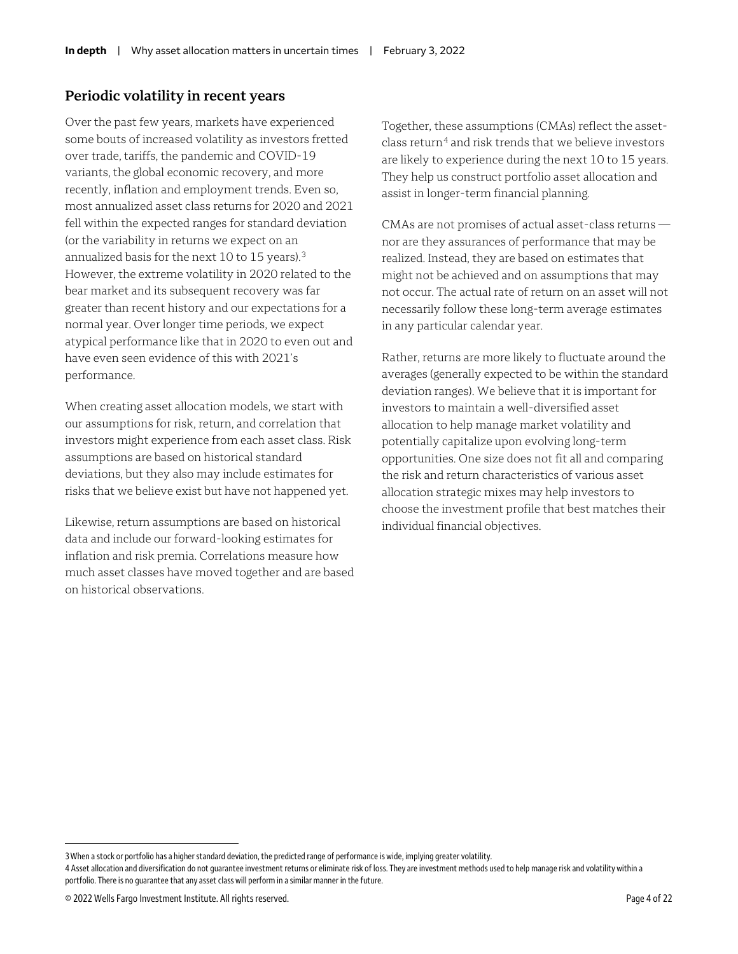#### **Periodic volatility in recent years**

Over the past few years, markets have experienced some bouts of increased volatility as investors fretted over trade, tariffs, the pandemic and COVID-19 variants, the global economic recovery, and more recently, inflation and employment trends. Even so, most annualized asset class returns for 2020 and 2021 fell within the expected ranges for standard deviation (or the variability in returns we expect on an annualized basis for the next 10 to 15 years). [3](#page-3-0) However, the extreme volatility in 2020 related to the bear market and its subsequent recovery was far greater than recent history and our expectations for a normal year. Over longer time periods, we expect atypical performance like that in 2020 to even out and have even seen evidence of this with 2021's performance.

When creating asset allocation models, we start with our assumptions for risk, return, and correlation that investors might experience from each asset class. Risk assumptions are based on historical standard deviations, but they also may include estimates for risks that we believe exist but have not happened yet.

Likewise, return assumptions are based on historical data and include our forward-looking estimates for inflation and risk premia. Correlations measure how much asset classes have moved together and are based on historical observations.

Together, these assumptions (CMAs) reflect the asset $class$  return<sup>[4](#page-3-1)</sup> and risk trends that we believe investors are likely to experience during the next 10 to 15 years. They help us construct portfolio asset allocation and assist in longer-term financial planning.

CMAs are not promises of actual asset-class returns nor are they assurances of performance that may be realized. Instead, they are based on estimates that might not be achieved and on assumptions that may not occur. The actual rate of return on an asset will not necessarily follow these long-term average estimates in any particular calendar year.

Rather, returns are more likely to fluctuate around the averages (generally expected to be within the standard deviation ranges). We believe that it is important for investors to maintain a well-diversified asset allocation to help manage market volatility and potentially capitalize upon evolving long-term opportunities. One size does not fit all and comparing the risk and return characteristics of various asset allocation strategic mixes may help investors to choose the investment profile that best matches their individual financial objectives.

<span id="page-3-0"></span><sup>3</sup>When a stock or portfolio has a higher standard deviation, the predicted range of performance is wide, implying greater volatility.

<span id="page-3-1"></span><sup>4</sup> Asset allocation and diversification do not quarantee investment returns or eliminate risk of loss. They are investment methods used to help manage risk and volatility within a portfolio. There is no guarantee that any asset class will perform in a similar manner in the future.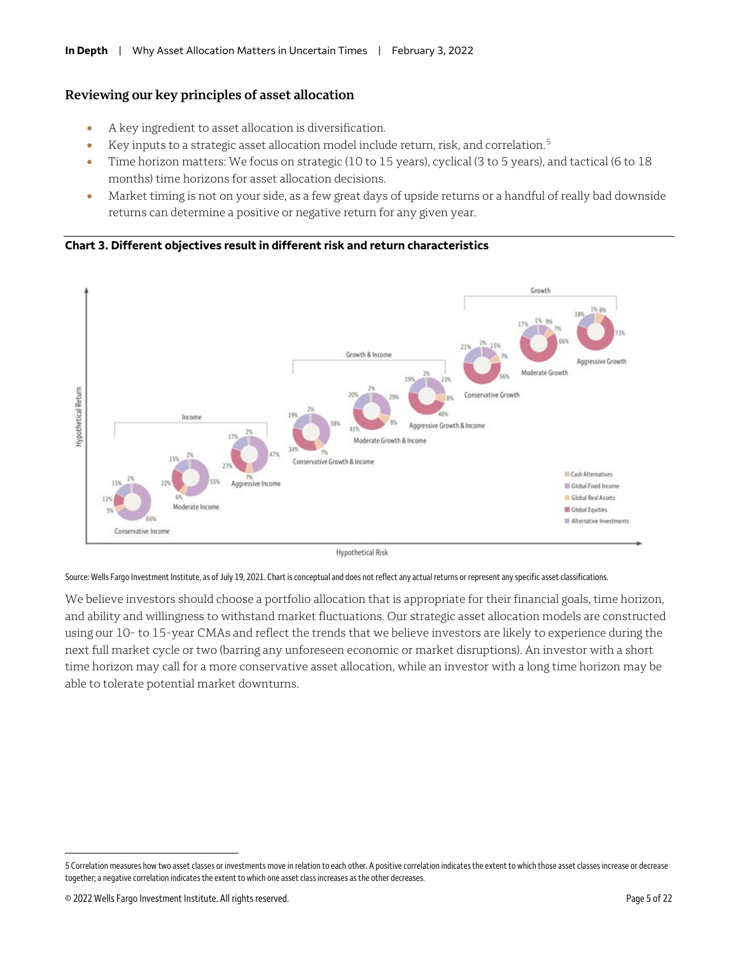#### **Reviewing our key principles of asset allocation**

- A key ingredient to asset allocation is diversification.
- Key inputs to a strategic asset allocation model include return, risk, and correlation.[5](#page-4-0)
- Time horizon matters: We focus on strategic (10 to 15 years), cyclical (3 to 5 years), and tactical (6 to 18 months) time horizons for asset allocation decisions.
- Market timing is not on your side, as a few great days of upside returns or a handful of really bad downside returns can determine a positive or negative return for any given year.





**Hypothetical Risk** 

Source: Wells Fargo Investment Institute, as of July 19, 2021. Chart is conceptual and does not reflect any actual returns or represent any specific asset classifications.

We believe investors should choose a portfolio allocation that is appropriate for their financial goals, time horizon, and ability and willingness to withstand market fluctuations. Our strategic asset allocation models are constructed using our 10- to 15-year CMAs and reflect the trends that we believe investors are likely to experience during the next full market cycle or two (barring any unforeseen economic or market disruptions). An investor with a short time horizon may call for a more conservative asset allocation, while an investor with a long time horizon may be able to tolerate potential market downturns.

<span id="page-4-0"></span><sup>5</sup> Correlation measures how two asset classes or investments move in relation to each other. A positive correlation indicates the extent to which those asset classes increase or decrease together; a negative correlation indicates the extent to which one asset class increases as the other decreases.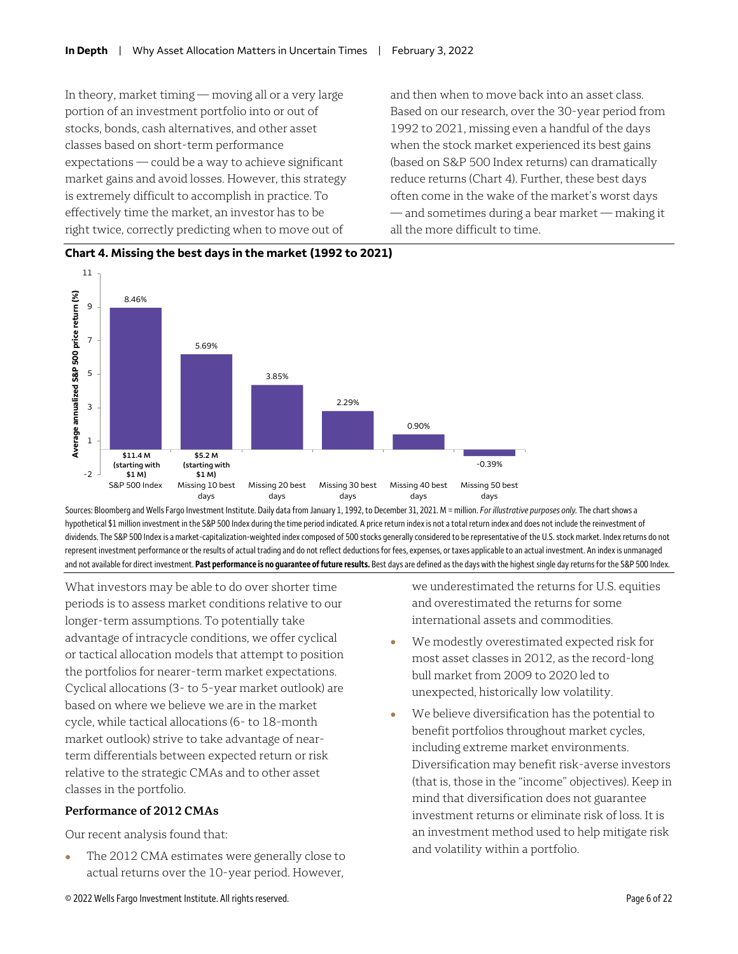In theory, market timing — moving all or a very large portion of an investment portfolio into or out of stocks, bonds, cash alternatives, and other asset classes based on short-term performance expectations — could be a way to achieve significant market gains and avoid losses. However, this strategy is extremely difficult to accomplish in practice. To effectively time the market, an investor has to be right twice, correctly predicting when to move out of

and then when to move back into an asset class. Based on our research, over the 30-year period from 1992 to 2021, missing even a handful of the days when the stock market experienced its best gains (based on S&P 500 Index returns) can dramatically reduce returns (Chart 4). Further, these best days often come in the wake of the market's worst days — and sometimes during a bear market — making it all the more difficult to time.



#### **Chart 4. Missing the best days in the market (1992 to 2021)**

Sources: Bloomberg and Wells Fargo Investment Institute. Daily data from January 1, 1992, to December 31, 2021.M = million. *For illustrative purposes only.* The chart shows a hypothetical \$1 million investment in the S&P 500 Index during the time period indicated. A price return index is not a total return index and does not include the reinvestment of dividends. The S&P 500 Index is a market-capitalization-weighted index composed of 500 stocks generally considered to be representative of the U.S. stock market. Index returns do not represent investment performance or the results of actual trading and do not reflect deductions for fees, expenses, or taxes applicable to an actual investment. An index is unmanaged and not available for direct investment. **Past performance is no guarantee of future results.** Best days are defined as the days with the highest single day returnsfor the S&P 500 Index.

What investors may be able to do over shorter time periods is to assess market conditions relative to our longer-term assumptions. To potentially take advantage of intracycle conditions, we offer cyclical or tactical allocation models that attempt to position the portfolios for nearer-term market expectations. Cyclical allocations (3- to 5-year market outlook) are based on where we believe we are in the market cycle, while tactical allocations (6- to 18-month market outlook) strive to take advantage of nearterm differentials between expected return or risk relative to the strategic CMAs and to other asset classes in the portfolio.

#### **Performance of 2012 CMAs**

Our recent analysis found that:

• The 2012 CMA estimates were generally close to actual returns over the 10-year period. However,

we underestimated the returns for U.S. equities and overestimated the returns for some international assets and commodities.

- We modestly overestimated expected risk for most asset classes in 2012, as the record-long bull market from 2009 to 2020 led to unexpected, historically low volatility.
- We believe diversification has the potential to benefit portfolios throughout market cycles, including extreme market environments. Diversification may benefit risk-averse investors (that is, those in the "income" objectives). Keep in mind that diversification does not guarantee investment returns or eliminate risk of loss. It is an investment method used to help mitigate risk and volatility within a portfolio.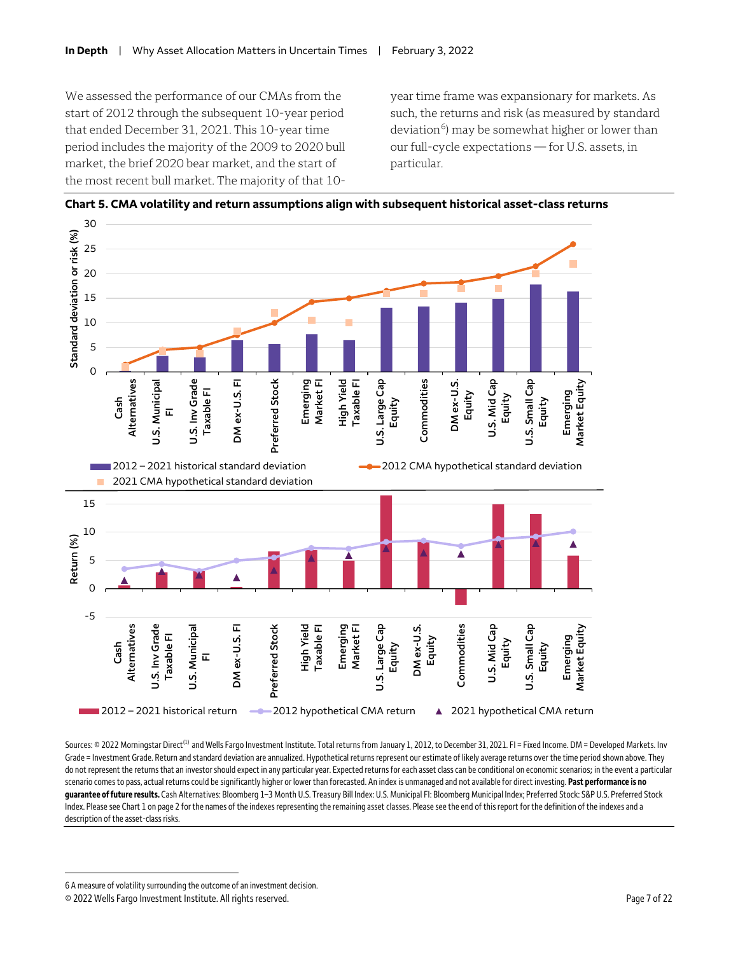We assessed the performance of our CMAs from the start of 2012 through the subsequent 10-year period that ended December 31, 2021. This 10-year time period includes the majority of the 2009 to 2020 bull market, the brief 2020 bear market, and the start of the most recent bull market. The majority of that 10year time frame was expansionary for markets. As such, the returns and risk (as measured by standard deviation<sup>6</sup>) may be somewhat higher or lower than our full-cycle expectations — for U.S. assets, in particular.



**Chart 5. CMA volatility and return assumptions align with subsequent historical asset-class returns**

Sources: © 2022 Morningstar Direct<sup>(1)</sup> and Wells Fargo Investment Institute. Total returns from January 1, 2012, to December 31, 2021. FI = Fixed Income. DM = Developed Markets. Inv Grade = Investment Grade. Return and standard deviation are annualized. Hypothetical returnsrepresent our estimate of likely average returns over the time period shown above. They do not represent the returns that an investor should expect in any particular year. Expected returns for each asset class can be conditional on economicscenarios; in the event a particular scenario comes to pass, actual returns could be significantly higher or lower than forecasted. An index is unmanaged and not available for direct investing. **Past performance is no guarantee of future results.** Cash Alternatives: Bloomberg 1–3 Month U.S. Treasury Bill Index: U.S. Municipal FI: Bloomberg Municipal Index; Preferred Stock: S&P U.S. Preferred Stock Index. Please see Chart 1 on page 2 for the names of the indexes representing the remaining asset classes. Please see the end of this report for the definition of the indexes and a description of the asset-class risks.

<span id="page-6-0"></span><sup>6</sup> A measure of volatility surrounding the outcome of an investment decision.

<sup>© 2022</sup> Wells Fargo Investment Institute. All rights reserved. Page 7 of 22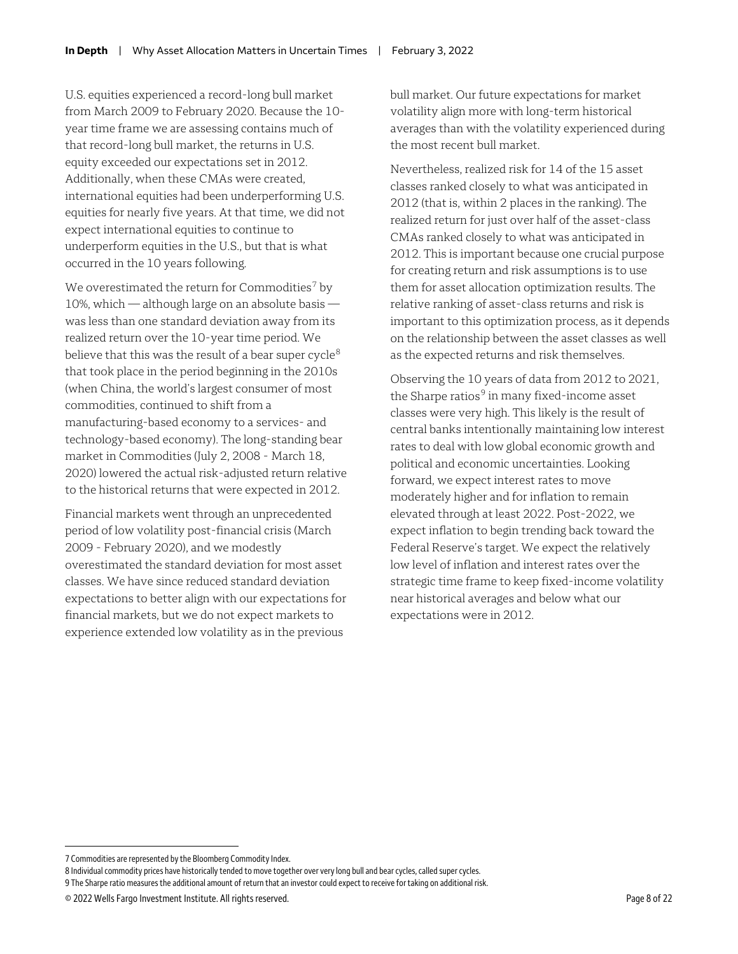U.S. equities experienced a record-long bull market from March 2009 to February 2020. Because the 10 year time frame we are assessing contains much of that record-long bull market, the returns in U.S. equity exceeded our expectations set in 2012. Additionally, when these CMAs were created, international equities had been underperforming U.S. equities for nearly five years. At that time, we did not expect international equities to continue to underperform equities in the U.S., but that is what occurred in the 10 years following.

We overestimated the return for Commodities<sup>[7](#page-7-0)</sup> by 10%, which — although large on an absolute basis was less than one standard deviation away from its realized return over the 10-year time period. We believe that this was the result of a bear super cycle<sup>[8](#page-7-1)</sup> that took place in the period beginning in the 2010s (when China, the world's largest consumer of most commodities, continued to shift from a manufacturing-based economy to a services- and technology-based economy). The long-standing bear market in Commodities (July 2, 2008 - March 18, 2020) lowered the actual risk-adjusted return relative to the historical returns that were expected in 2012.

Financial markets went through an unprecedented period of low volatility post-financial crisis (March 2009 - February 2020), and we modestly overestimated the standard deviation for most asset classes. We have since reduced standard deviation expectations to better align with our expectations for financial markets, but we do not expect markets to experience extended low volatility as in the previous

bull market. Our future expectations for market volatility align more with long-term historical averages than with the volatility experienced during the most recent bull market.

Nevertheless, realized risk for 14 of the 15 asset classes ranked closely to what was anticipated in 2012 (that is, within 2 places in the ranking). The realized return for just over half of the asset-class CMAs ranked closely to what was anticipated in 2012. This is important because one crucial purpose for creating return and risk assumptions is to use them for asset allocation optimization results. The relative ranking of asset-class returns and risk is important to this optimization process, as it depends on the relationship between the asset classes as well as the expected returns and risk themselves.

Observing the 10 years of data from 2012 to 2021, the Sharpe ratios<sup>[9](#page-7-2)</sup> in many fixed-income asset classes were very high. This likely is the result of central banks intentionally maintaining low interest rates to deal with low global economic growth and political and economic uncertainties. Looking forward, we expect interest rates to move moderately higher and for inflation to remain elevated through at least 2022. Post-2022, we expect inflation to begin trending back toward the Federal Reserve's target. We expect the relatively low level of inflation and interest rates over the strategic time frame to keep fixed-income volatility near historical averages and below what our expectations were in 2012.

<span id="page-7-0"></span><sup>7</sup> Commodities are represented by the Bloomberg Commodity Index.

<span id="page-7-1"></span><sup>8</sup> Individual commodity prices have historically tended to move together over very long bull and bear cycles, called super cycles.

<span id="page-7-2"></span><sup>9</sup> The Sharpe ratio measures the additional amount of return that an investor could expect to receive for taking on additional risk.

<sup>© 2022</sup> Wells Fargo Investment Institute. All rights reserved. Page 8 of 22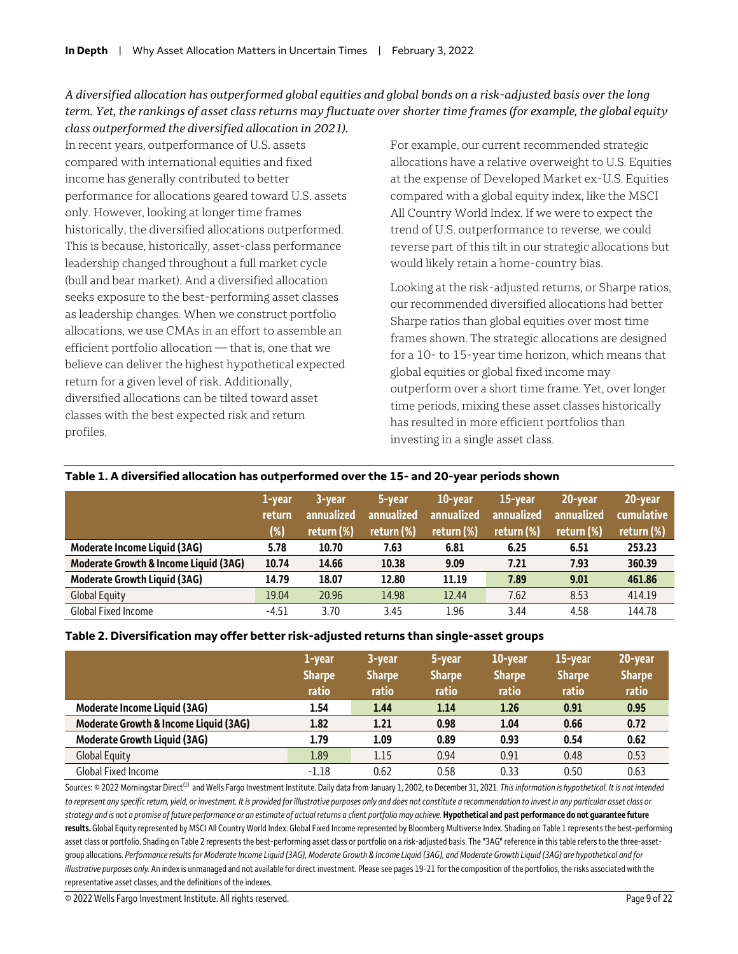#### *A diversified allocation has outperformed global equities and global bonds on a risk-adjusted basis over the long term. Yet, the rankings of asset class returns may fluctuate over shorter time frames (for example, the global equity class outperformed the diversified allocation in 2021).*

In recent years, outperformance of U.S. assets compared with international equities and fixed income has generally contributed to better performance for allocations geared toward U.S. assets only. However, looking at longer time frames historically, the diversified allocations outperformed. This is because, historically, asset-class performance leadership changed throughout a full market cycle (bull and bear market). And a diversified allocation seeks exposure to the best-performing asset classes as leadership changes. When we construct portfolio allocations, we use CMAs in an effort to assemble an efficient portfolio allocation — that is, one that we believe can deliver the highest hypothetical expected return for a given level of risk. Additionally, diversified allocations can be tilted toward asset classes with the best expected risk and return profiles.

For example, our current recommended strategic allocations have a relative overweight to U.S. Equities at the expense of Developed Market ex-U.S. Equities compared with a global equity index, like the MSCI All Country World Index. If we were to expect the trend of U.S. outperformance to reverse, we could reverse part of this tilt in our strategic allocations but would likely retain a home-country bias.

Looking at the risk-adjusted returns, or Sharpe ratios, our recommended diversified allocations had better Sharpe ratios than global equities over most time frames shown. The strategic allocations are designed for a 10- to 15-year time horizon, which means that global equities or global fixed income may outperform over a short time frame. Yet, over longer time periods, mixing these asset classes historically has resulted in more efficient portfolios than investing in a single asset class.

|                                       | 1-year<br>return<br>(%) | 3-year<br>annualized<br>return (%) | 5-year<br>annualized<br> return (%)' | 10-year<br>annualized<br>return (%) | 15-year<br>annualized<br>return (%) | 20-year<br>annualized<br>return (%) | 20-year<br>cumulative<br>return (%) |
|---------------------------------------|-------------------------|------------------------------------|--------------------------------------|-------------------------------------|-------------------------------------|-------------------------------------|-------------------------------------|
| Moderate Income Liquid (3AG)          | 5.78                    | 10.70                              | 7.63                                 | 6.81                                | 6.25                                | 6.51                                | 253.23                              |
| Moderate Growth & Income Liquid (3AG) | 10.74                   | 14.66                              | 10.38                                | 9.09                                | 7.21                                | 7.93                                | 360.39                              |
| <b>Moderate Growth Liquid (3AG)</b>   | 14.79                   | 18.07                              | 12.80                                | 11.19                               | 7.89                                | 9.01                                | 461.86                              |
| <b>Global Equity</b>                  | 19.04                   | 20.96                              | 14.98                                | 12.44                               | 7.62                                | 8.53                                | 414.19                              |
| <b>Global Fixed Income</b>            | $-4.51$                 | 3.70                               | 3.45                                 | 1.96                                | 3.44                                | 4.58                                | 144.78                              |

#### **Table 1. A diversified allocation has outperformed over the 15- and 20-year periods shown**

#### **Table 2. Diversification may offer better risk-adjusted returns than single-asset groups**

|                                       | 1-year<br><b>Sharpe</b><br>ratio | 3-year<br><b>Sharpe</b><br>ratio | 5-year<br><b>Sharpe</b><br>ratio | 10-year<br><b>Sharpe</b><br>ratio | 15-year<br><b>Sharpe</b><br>ratio | 20-year<br><b>Sharpe</b><br>ratio |
|---------------------------------------|----------------------------------|----------------------------------|----------------------------------|-----------------------------------|-----------------------------------|-----------------------------------|
| Moderate Income Liquid (3AG)          | 1.54                             | 1.44                             | 1.14                             | 1.26                              | 0.91                              | 0.95                              |
| Moderate Growth & Income Liquid (3AG) | 1.82                             | 1.21                             | 0.98                             | 1.04                              | 0.66                              | 0.72                              |
| <b>Moderate Growth Liquid (3AG)</b>   | 1.79                             | 1.09                             | 0.89                             | 0.93                              | 0.54                              | 0.62                              |
| <b>Global Equity</b>                  | 1.89                             | 1.15                             | 0.94                             | 0.91                              | 0.48                              | 0.53                              |
| Global Fixed Income                   | $-1.18$                          | 0.62                             | 0.58                             | 0.33                              | 0.50                              | 0.63                              |

Sources: © 2022 Morningstar Direct<sup>(1)</sup> and Wells Fargo Investment Institute. Daily data from January 1, 2002, to December 31, 2021. This information is hypothetical. It is not intended *to represent any specific return, yield, or investment. It is provided for illustrative purposes only and does not constitute a recommendation to invest in any particular asset class or*  strategy and is not a promise of future performance or an estimate of actual returns a client portfolio may achieve. **Hypothetical and past performance do not guarantee future** results. Global Equity represented by MSCI All Country World Index. Global Fixed Income represented by Bloomberg Multiverse Index. Shading on Table 1 represents the best-performing asset class or portfolio. Shading on Table 2 represents the best-performing asset class or portfolio on a risk-adjusted basis. The "3AG" reference in this table refers to the three-assetgroup allocations. *Performance results forModerate IncomeLiquid (3AG), Moderate Growth & IncomeLiquid (3AG), and Moderate Growth Liquid (3AG) are hypothetical and for illustrative purposes only.* An index is unmanaged and not available for direct investment. Please see pages 19-21 for the composition of the portfolios, the risks associated with the representative asset classes, and the definitions of the indexes.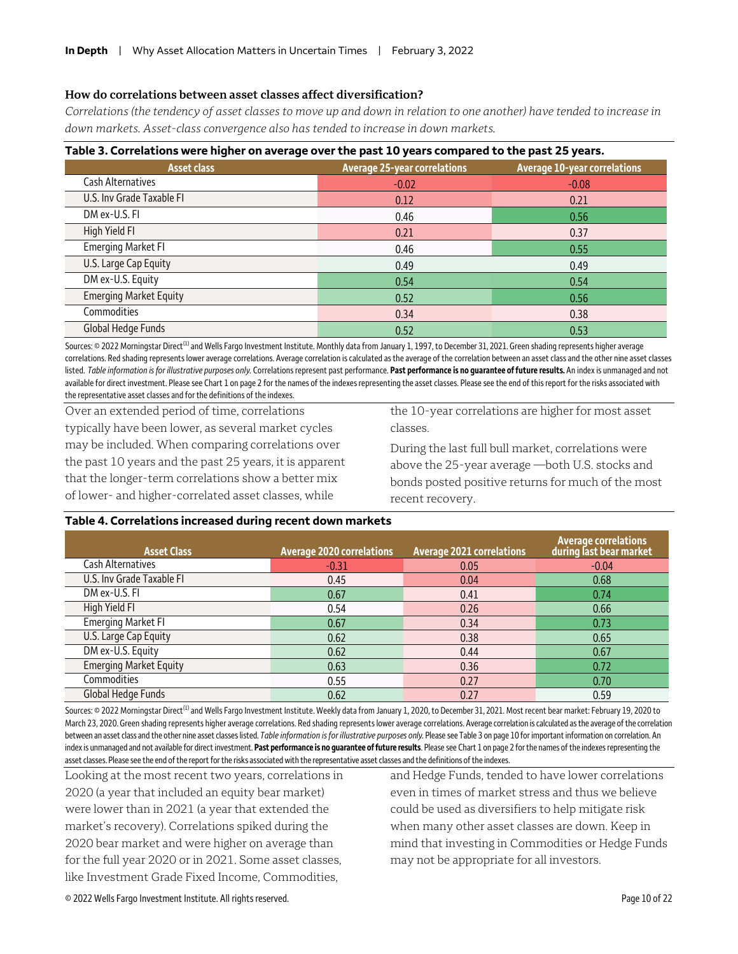#### **How do correlations between asset classes affect diversification?**

*Correlations (the tendency of asset classes to move up and down in relation to one another) have tended to increase in down markets. Asset-class convergence also has tended to increase in down markets.* 

| Table 3. Correlations were higher on average over the past 10 years compared to the past 25 years. |                                     |                                     |  |  |  |  |  |  |  |
|----------------------------------------------------------------------------------------------------|-------------------------------------|-------------------------------------|--|--|--|--|--|--|--|
| <b>Asset class</b>                                                                                 | <b>Average 25-year correlations</b> | <b>Average 10-year correlations</b> |  |  |  |  |  |  |  |
| Cash Alternatives                                                                                  | $-0.02$                             | $-0.08$                             |  |  |  |  |  |  |  |
| U.S. Inv Grade Taxable FI                                                                          | 0.12                                | 0.21                                |  |  |  |  |  |  |  |
| DM ex-U.S. FI                                                                                      | 0.46                                | 0.56                                |  |  |  |  |  |  |  |
| High Yield FI                                                                                      | 0.21                                | 0.37                                |  |  |  |  |  |  |  |
| <b>Emerging Market FI</b>                                                                          | 0.46                                | 0.55                                |  |  |  |  |  |  |  |
| U.S. Large Cap Equity                                                                              | 0.49                                | 0.49                                |  |  |  |  |  |  |  |
| DM ex-U.S. Equity                                                                                  | 0.54                                | 0.54                                |  |  |  |  |  |  |  |
| <b>Emerging Market Equity</b>                                                                      | 0.52                                | 0.56                                |  |  |  |  |  |  |  |
| Commodities                                                                                        | 0.34                                | 0.38                                |  |  |  |  |  |  |  |
| Global Hedge Funds                                                                                 | 0.52                                | 0.53                                |  |  |  |  |  |  |  |

Sources: © 2022 Morningstar Direct<sup>(1)</sup> and Wells Fargo Investment Institute. Monthly data from January 1, 1997, to December 31, 2021. Green shading represents higher average correlations. Red shading represents lower average correlations. Average correlation is calculated as the average of the correlation between an asset class and the other nine asset classes listed. *Table information is for illustrative purposes only.* Correlations represent past performance. **Past performance is no guarantee of future results.** An index is unmanaged and not available for direct investment. Please see Chart 1 on page 2 for the names of the indexes representing the asset classes. Please see the end of this report for the risks associated with the representative asset classes and for the definitions of the indexes.

Over an extended period of time, correlations typically have been lower, as several market cycles may be included. When comparing correlations over the past 10 years and the past 25 years, it is apparent that the longer-term correlations show a better mix of lower- and higher-correlated asset classes, while

the 10-year correlations are higher for most asset classes.

During the last full bull market, correlations were above the 25-year average —both U.S. stocks and bonds posted positive returns for much of the most recent recovery.

#### **Table 4. Correlations increased during recent down markets**

| <b>Asset Class</b>            | <b>Average 2020 correlations</b> | <b>Average 2021 correlations</b> | <b>Average correlations</b><br>during last bear market |
|-------------------------------|----------------------------------|----------------------------------|--------------------------------------------------------|
| Cash Alternatives             | $-0.31$                          | 0.05                             | $-0.04$                                                |
| U.S. Inv Grade Taxable FI     | 0.45                             | 0.04                             | 0.68                                                   |
| DM ex-U.S. FI                 | 0.67                             | 0.41                             | 0.74                                                   |
| High Yield FI                 | 0.54                             | 0.26                             | 0.66                                                   |
| <b>Emerging Market FI</b>     | 0.67                             | 0.34                             | 0.73                                                   |
| U.S. Large Cap Equity         | 0.62                             | 0.38                             | 0.65                                                   |
| DM ex-U.S. Equity             | 0.62                             | 0.44                             | 0.67                                                   |
| <b>Emerging Market Equity</b> | 0.63                             | 0.36                             | 0.72                                                   |
| Commodities                   | 0.55                             | 0.27                             | 0.70                                                   |
| Global Hedge Funds            | 0.62                             | 0.27                             | 0.59                                                   |

Sources: © 2022 Morningstar Direct<sup>(1)</sup> and Wells Fargo Investment Institute. Weekly data from January 1, 2020, to December 31, 2021. Most recent bear market: February 19, 2020 to March 23, 2020. Green shading represents higher average correlations. Red shading represents lower average correlations. Average correlation is calculated as the average of the correlation between an asset class and the other nine asset classes listed. *Table information is for illustrative purposes only.* Please see Table 3 on page 10 for important information on correlation. An index is unmanaged and not available for direct investment. Past performance is no quarantee of future results. Please see Chart 1 on page 2 for the names of the indexes representing the asset classes.Please see the end of the report for the risks associated with the representative asset classes and the definitions of the indexes.

Looking at the most recent two years, correlations in 2020 (a year that included an equity bear market) were lower than in 2021 (a year that extended the market's recovery). Correlations spiked during the 2020 bear market and were higher on average than for the full year 2020 or in 2021. Some asset classes, like Investment Grade Fixed Income, Commodities,

and Hedge Funds, tended to have lower correlations even in times of market stress and thus we believe could be used as diversifiers to help mitigate risk when many other asset classes are down. Keep in mind that investing in Commodities or Hedge Funds may not be appropriate for all investors.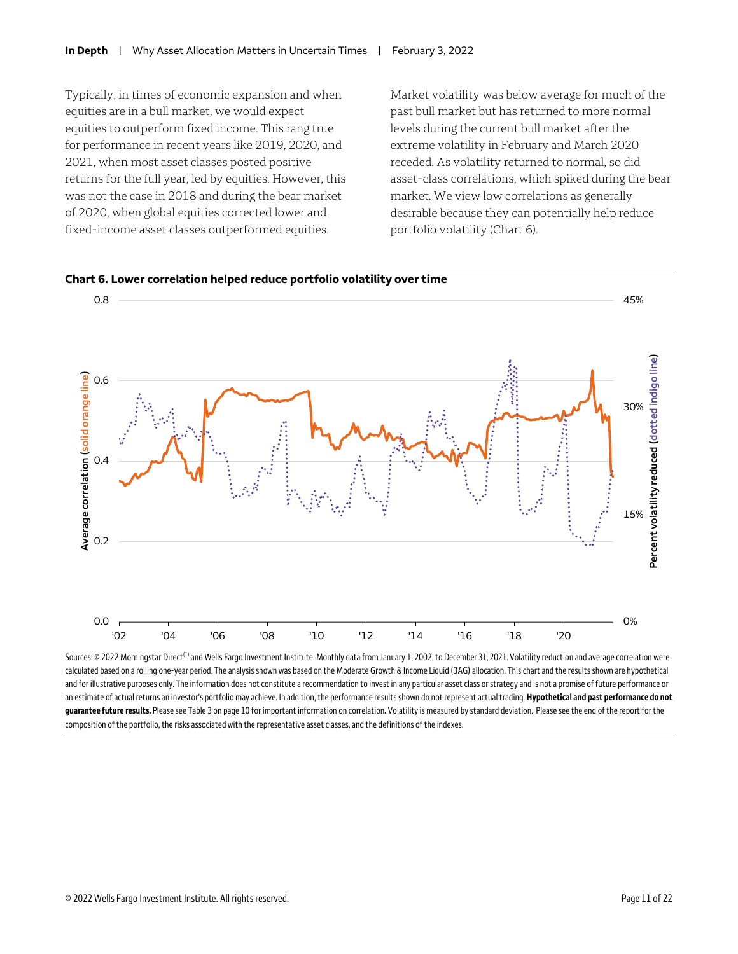Typically, in times of economic expansion and when equities are in a bull market, we would expect equities to outperform fixed income. This rang true for performance in recent years like 2019, 2020, and 2021, when most asset classes posted positive returns for the full year, led by equities. However, this was not the case in 2018 and during the bear market of 2020, when global equities corrected lower and fixed-income asset classes outperformed equities.

Market volatility was below average for much of the past bull market but has returned to more normal levels during the current bull market after the extreme volatility in February and March 2020 receded. As volatility returned to normal, so did asset-class correlations, which spiked during the bear market. We view low correlations as generally desirable because they can potentially help reduce portfolio volatility (Chart 6).



Sources: © 2022 Morningstar Direct<sup>(1)</sup> and Wells Fargo Investment Institute. Monthly data from January 1, 2002, to December 31, 2021. Volatility reduction and average correlation were calculated based on a rolling one-year period. The analysis shown was based on the Moderate Growth & Income Liquid (3AG) allocation. This chart and the results shown are hypothetical and for illustrative purposes only. The information does not constitute a recommendation to invest in any particular asset class or strategy and is not a promise of future performance or an estimate of actual returns an investor's portfolio may achieve. In addition, the performance results shown do not represent actual trading. **Hypothetical and past performance do not guarantee future results.** Please see Table 3 on page 10 for important information on correlation**.** Volatility is measured bystandard deviation. Please see the end of the report for the composition of the portfolio, the risks associated with the representative asset classes, and the definitions of the indexes.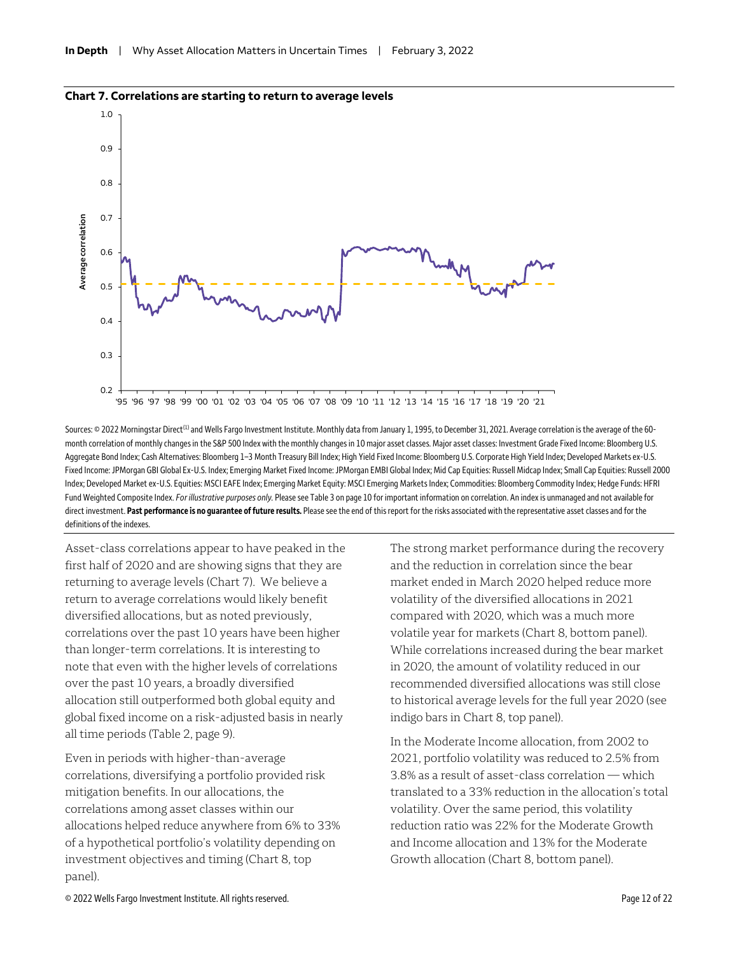

#### **Chart 7. Correlations are starting to return to average levels**

Sources: © 2022 Morningstar Direct<sup>(1)</sup> and Wells Fargo Investment Institute. Monthly data from January 1, 1995, to December 31, 2021. Average correlation is the average of the 60month correlation of monthly changes in the S&P 500 Index with the monthly changes in 10 major asset classes. Major asset classes: Investment Grade Fixed Income: Bloomberg U.S. Aggregate Bond Index; Cash Alternatives: Bloomberg 1–3 Month Treasury Bill Index; High Yield Fixed Income: Bloomberg U.S. Corporate High Yield Index; Developed Markets ex-U.S. Fixed Income: JPMorgan GBI Global Ex-U.S. Index; Emerging Market Fixed Income: JPMorgan EMBI Global Index; Mid Cap Equities: Russell Midcap Index; Small Cap Equities: Russell 2000 Index; Developed Market ex-U.S. Equities: MSCI EAFE Index; Emerging Market Equity: MSCI Emerging Markets Index; Commodities: Bloomberg Commodity Index; Hedge Funds: HFRI Fund Weighted Composite Index. *For illustrative purposes only.* Please see Table 3 on page 10 for important information on correlation. An index is unmanaged and not available for direct investment. Past performance is no guarantee of future results. Please see the end of this report for the risks associated with the representative asset classes and for the definitions of the indexes.

Asset-class correlations appear to have peaked in the first half of 2020 and are showing signs that they are returning to average levels (Chart 7). We believe a return to average correlations would likely benefit diversified allocations, but as noted previously, correlations over the past 10 years have been higher than longer-term correlations. It is interesting to note that even with the higher levels of correlations over the past 10 years, a broadly diversified allocation still outperformed both global equity and global fixed income on a risk-adjusted basis in nearly all time periods (Table 2, page 9).

Even in periods with higher-than-average correlations, diversifying a portfolio provided risk mitigation benefits. In our allocations, the correlations among asset classes within our allocations helped reduce anywhere from 6% to 33% of a hypothetical portfolio's volatility depending on investment objectives and timing (Chart 8, top panel).

The strong market performance during the recovery and the reduction in correlation since the bear market ended in March 2020 helped reduce more volatility of the diversified allocations in 2021 compared with 2020, which was a much more volatile year for markets (Chart 8, bottom panel). While correlations increased during the bear market in 2020, the amount of volatility reduced in our recommended diversified allocations was still close to historical average levels for the full year 2020 (see indigo bars in Chart 8, top panel).

In the Moderate Income allocation, from 2002 to 2021, portfolio volatility was reduced to 2.5% from 3.8% as a result of asset-class correlation — which translated to a 33% reduction in the allocation's total volatility. Over the same period, this volatility reduction ratio was 22% for the Moderate Growth and Income allocation and 13% for the Moderate Growth allocation (Chart 8, bottom panel).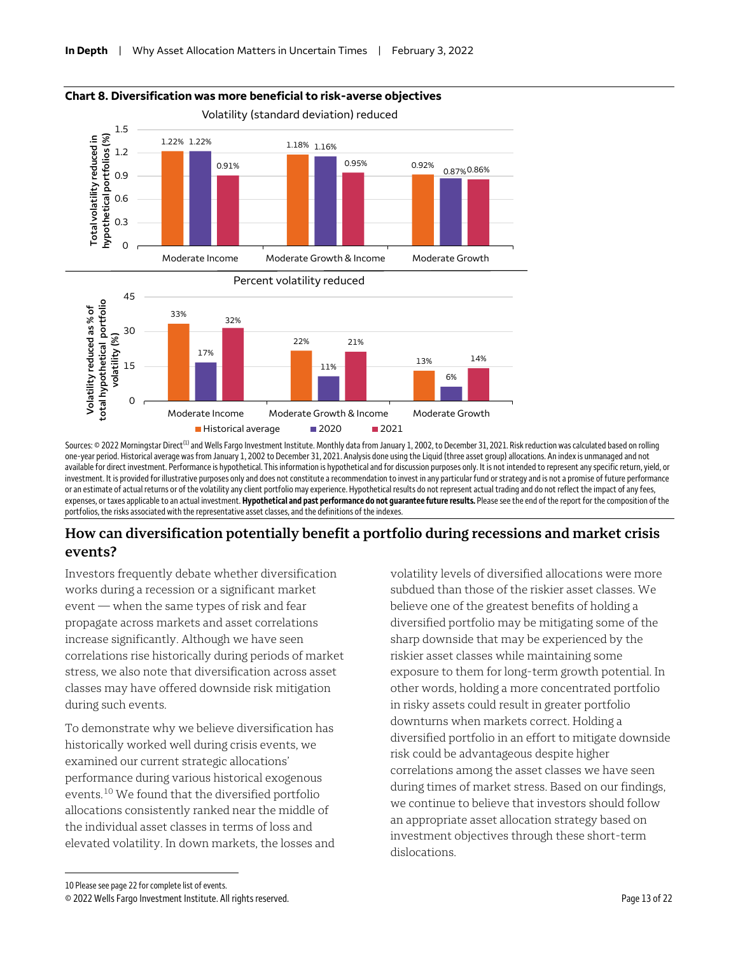

### **Chart 8. Diversification was more beneficial to risk-averse objectives**

Sources: © 2022 Morningstar Direct<sup>(1)</sup> and Wells Fargo Investment Institute. Monthly data from January 1, 2002, to December 31, 2021. Risk reduction was calculated based on rolling one-year period. Historical average was from January 1, 2002 to December 31, 2021. Analysis done using the Liquid (three asset group) allocations. An index is unmanaged and not available for direct investment. Performance is hypothetical. This information is hypothetical and for discussion purposes only. It is not intended to represent any specific return, yield, or investment. It is provided for illustrative purposes only and does not constitute a recommendation to invest in any particular fund or strategy and is not a promise of future performance oran estimate of actual returns or of the volatility any client portfolio may experience. Hypothetical results do not represent actual trading and do not reflect the impact of any fees, expenses, or taxes applicable to an actual investment. **Hypothetical and past performance do not guarantee future results.** Please see the end of the report for the composition of the portfolios, the risks associated with the representative asset classes, and the definitions of the indexes.

#### **How can diversification potentially benefit a portfolio during recessions and market crisis events?**

Investors frequently debate whether diversification works during a recession or a significant market event — when the same types of risk and fear propagate across markets and asset correlations increase significantly. Although we have seen correlations rise historically during periods of market stress, we also note that diversification across asset classes may have offered downside risk mitigation during such events.

To demonstrate why we believe diversification has historically worked well during crisis events, we examined our current strategic allocations' performance during various historical exogenous events.[10](#page-12-0) We found that the diversified portfolio allocations consistently ranked near the middle of the individual asset classes in terms of loss and elevated volatility. In down markets, the losses and

volatility levels of diversified allocations were more subdued than those of the riskier asset classes. We believe one of the greatest benefits of holding a diversified portfolio may be mitigating some of the sharp downside that may be experienced by the riskier asset classes while maintaining some exposure to them for long-term growth potential. In other words, holding a more concentrated portfolio in risky assets could result in greater portfolio downturns when markets correct. Holding a diversified portfolio in an effort to mitigate downside risk could be advantageous despite higher correlations among the asset classes we have seen during times of market stress. Based on our findings, we continue to believe that investors should follow an appropriate asset allocation strategy based on investment objectives through these short-term dislocations.

<span id="page-12-0"></span><sup>10</sup> Please see page 22 for complete list of events.

<sup>© 2022</sup> Wells Fargo Investment Institute. All rights reserved. Page 13 of 22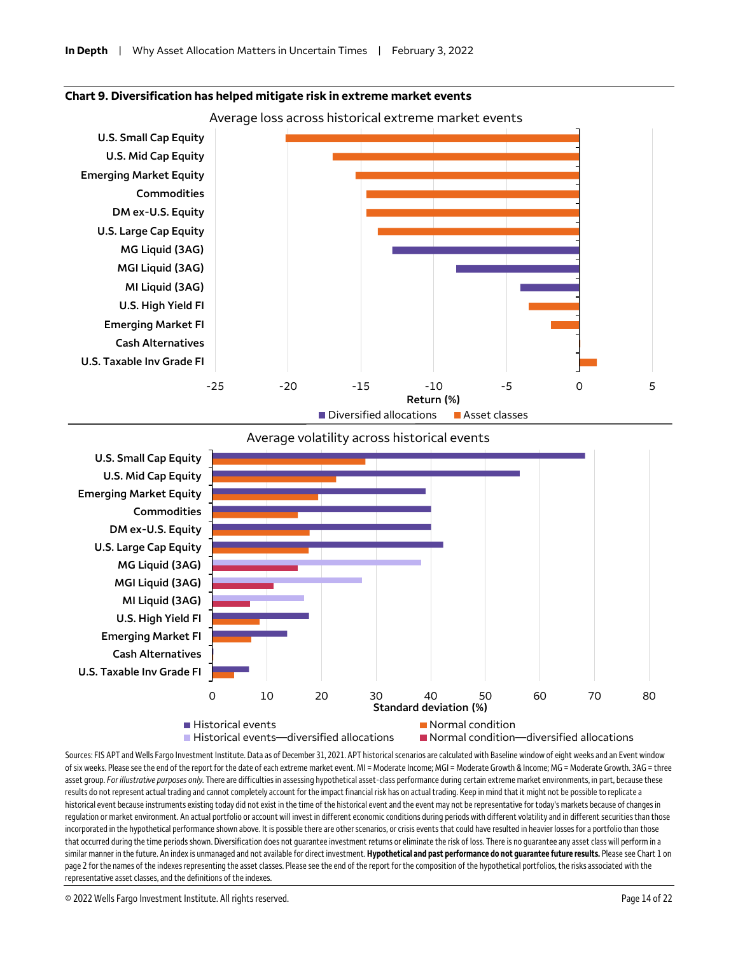



#### Average volatility across historical events



Sources: FIS APT and Wells Fargo Investment Institute. Data as of December 31, 2021. APT historical scenarios are calculated with Baseline window of eight weeks and an Event window of six weeks. Please see the end of the report for the date of each extreme market event. MI = Moderate lncome; MGI = Moderate Growth & Income; MG = Moderate Growth. 3AG = three asset group. For illustrative purposes only. There are difficulties in assessing hypothetical asset-class performance during certain extreme market environments, in part, because these results do not represent actual trading and cannot completely account for the impact financial risk has on actual trading. Keep in mind that it might not be possible to replicate a historical event because instruments existing today did not exist in the time of the historical event and the event may not be representative for today's markets because of changes in regulation or market environment. An actual portfolio or account will invest in different economic conditions during periods with different volatility and in different securities than those incorporated in the hypothetical performance shown above. It is possible there are other scenarios, or crisis events that could have resulted in heavier losses for a portfolio than those that occurred during the time periods shown. Diversification does not guarantee investment returns or eliminate the risk of loss. There is no guarantee any asset class will perform in a similar manner in the future. An index is unmanaged and not available for direct investment. **Hypothetical and past performance do not guarantee future results.** Please see Chart 1 on page 2 for the names of the indexes representing the asset classes. Please see the end of the report for the composition of the hypothetical portfolios, the risks associated with the representative asset classes, and the definitions of the indexes.

© 2022 Wells Fargo Investment Institute. All rights reserved. Page 14 of 22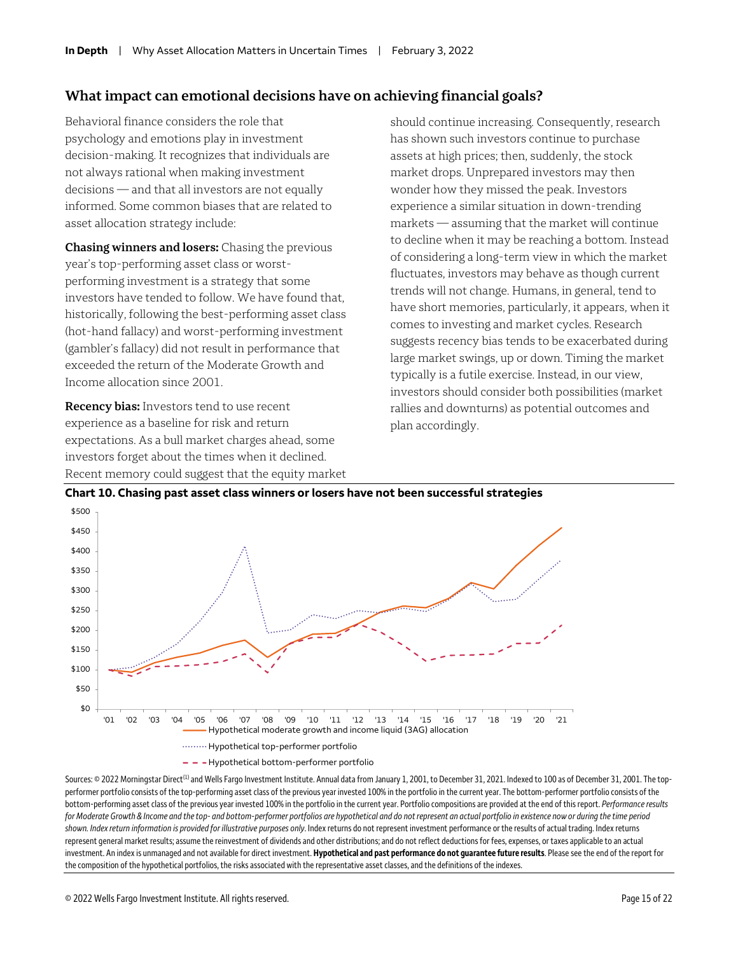#### **What impact can emotional decisions have on achieving financial goals?**

Behavioral finance considers the role that psychology and emotions play in investment decision-making. It recognizes that individuals are not always rational when making investment decisions — and that all investors are not equally informed. Some common biases that are related to asset allocation strategy include:

**Chasing winners and losers:** Chasing the previous year's top-performing asset class or worstperforming investment is a strategy that some investors have tended to follow. We have found that, historically, following the best-performing asset class (hot-hand fallacy) and worst-performing investment (gambler's fallacy) did not result in performance that exceeded the return of the Moderate Growth and Income allocation since 2001.

**Recency bias:** Investors tend to use recent experience as a baseline for risk and return expectations. As a bull market charges ahead, some investors forget about the times when it declined. Recent memory could suggest that the equity market should continue increasing. Consequently, research has shown such investors continue to purchase assets at high prices; then, suddenly, the stock market drops. Unprepared investors may then wonder how they missed the peak. Investors experience a similar situation in down-trending markets — assuming that the market will continue to decline when it may be reaching a bottom. Instead of considering a long-term view in which the market fluctuates, investors may behave as though current trends will not change. Humans, in general, tend to have short memories, particularly, it appears, when it comes to investing and market cycles. Research suggests recency bias tends to be exacerbated during large market swings, up or down. Timing the market typically is a futile exercise. Instead, in our view, investors should consider both possibilities (market rallies and downturns) as potential outcomes and plan accordingly.



**Chart 10. Chasing past asset class winners or losers have not been successful strategies**

Sources: © 2022 Morningstar Direct<sup>[1]</sup> and Wells Fargo Investment Institute. Annual data from January 1, 2001, to December 31, 2021. Indexed to 100 as of December 31, 2001. The topperformer portfolio consists of the top-performing asset class of the previous year invested 100% in the portfolio in the current year. The bottom-performer portfolio consists of the bottom-performing asset class of the previous year invested 100% in the portfolio in the current year. Portfolio compositions are provided at the end of this report. *Performance results for Moderate Growth & Income and the top- and bottom-performer portfolios are hypothetical and do not represent an actual portfolio in existence now or during the time period shown. Index return information is provided for illustrative purposes only*. Index returns do not represent investment performance or the results of actual trading. Index returns represent general market results; assume the reinvestment of dividends and other distributions; and do not reflect deductions for fees, expenses, or taxes applicable to an actual investment. An index is unmanaged and not available for direct investment. **Hypothetical and past performance do not guarantee future results**. Please see the end of the report for the composition of the hypothetical portfolios, the risks associated with the representative asset classes, and the definitions of the indexes.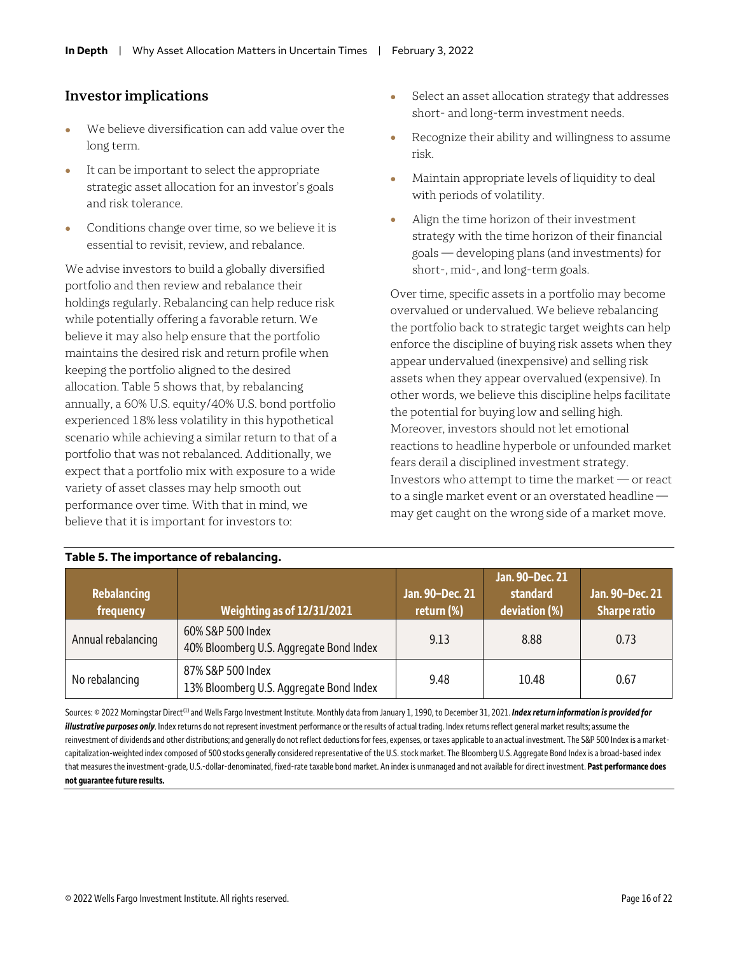#### **Investor implications**

- We believe diversification can add value over the long term.
- It can be important to select the appropriate strategic asset allocation for an investor's goals and risk tolerance.
- Conditions change over time, so we believe it is essential to revisit, review, and rebalance.

We advise investors to build a globally diversified portfolio and then review and rebalance their holdings regularly. Rebalancing can help reduce risk while potentially offering a favorable return. We believe it may also help ensure that the portfolio maintains the desired risk and return profile when keeping the portfolio aligned to the desired allocation. Table 5 shows that, by rebalancing annually, a 60% U.S. equity/40% U.S. bond portfolio experienced 18% less volatility in this hypothetical scenario while achieving a similar return to that of a portfolio that was not rebalanced. Additionally, we expect that a portfolio mix with exposure to a wide variety of asset classes may help smooth out performance over time. With that in mind, we believe that it is important for investors to:

- Select an asset allocation strategy that addresses short- and long-term investment needs.
- Recognize their ability and willingness to assume risk.
- Maintain appropriate levels of liquidity to deal with periods of volatility.
- Align the time horizon of their investment strategy with the time horizon of their financial goals — developing plans (and investments) for short-, mid-, and long-term goals.

Over time, specific assets in a portfolio may become overvalued or undervalued. We believe rebalancing the portfolio back to strategic target weights can help enforce the discipline of buying risk assets when they appear undervalued (inexpensive) and selling risk assets when they appear overvalued (expensive). In other words, we believe this discipline helps facilitate the potential for buying low and selling high. Moreover, investors should not let emotional reactions to headline hyperbole or unfounded market fears derail a disciplined investment strategy. Investors who attempt to time the market — or react to a single market event or an overstated headline may get caught on the wrong side of a market move.

| Rebalancing<br>frequency | Weighting as of 12/31/2021                                   | Jan. 90-Dec. 21<br>return (%) | Jan. 90-Dec. 21<br>standard<br>deviation (%) | Jan. 90-Dec. 21<br><b>Sharpe ratio</b> |
|--------------------------|--------------------------------------------------------------|-------------------------------|----------------------------------------------|----------------------------------------|
| Annual rebalancing       | 60% S&P 500 Index<br>40% Bloomberg U.S. Aggregate Bond Index | 9.13                          | 8.88                                         | 0.73                                   |
| No rebalancing           | 87% S&P 500 Index<br>13% Bloomberg U.S. Aggregate Bond Index | 9.48                          | 10.48                                        | 0.67                                   |

#### Sources: © 2022 Morningstar Direct<sup>(1)</sup> and Wells Fargo Investment Institute. Monthly data from January 1, 1990, to December 31, 2021. **Index return information is provided for** illustrative purposes only. Index returns do not represent investment performance or the results of actual trading. Index returns reflect general market results; assume the reinvestment of dividends and other distributions; and generally do not reflect deductions for fees, expenses, or taxes applicable to an actual investment. The S&P 500 Index is a marketcapitalization-weighted index composed of 500 stocks generally considered representative of the U.S. stock market. The Bloomberg U.S. Aggregate Bond Index is a broad-based index that measures the investment-grade, U.S.-dollar-denominated, fixed-rate taxable bond market. An index is unmanaged and not available for direct investment. **Past performance does not guarantee future results.**

#### **Table 5. The importance of rebalancing.**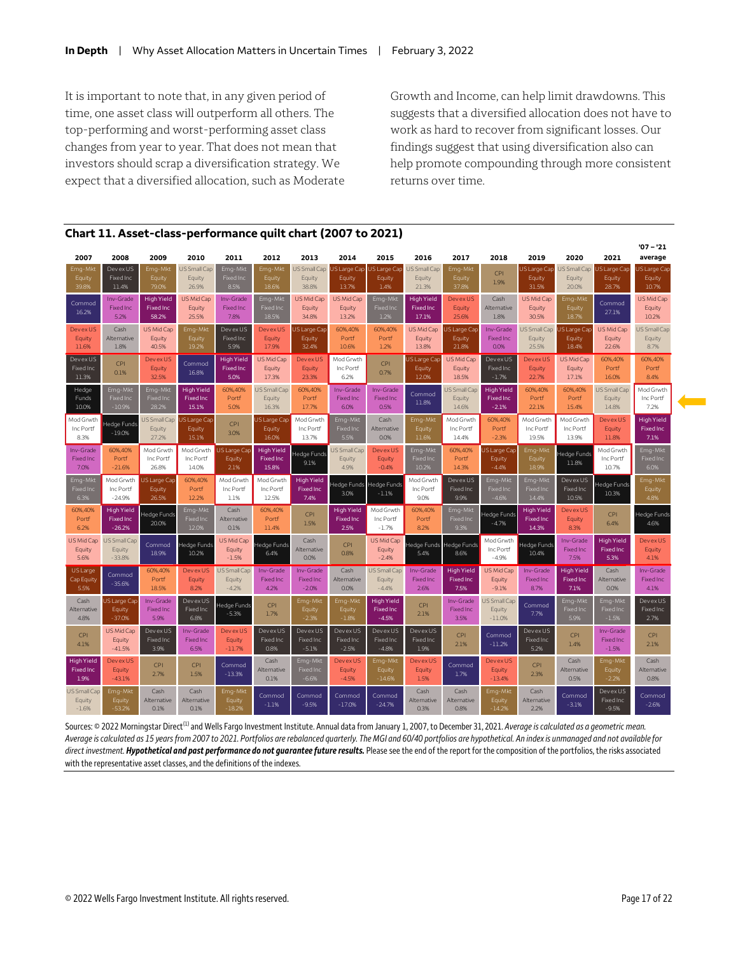It is important to note that, in any given period of time, one asset class will outperform all others. The top-performing and worst-performing asset class changes from year to year. That does not mean that investors should scrap a diversification strategy. We expect that a diversified allocation, such as Moderate

Growth and Income, can help limit drawdowns. This suggests that a diversified allocation does not have to work as hard to recover from significant losses. Our findings suggest that using diversification also can help promote compounding through more consistent returns over time.

| 2007                                          | 2008                                              | 2009                                           | 2010                                    | 2011                                          | 2012                                           | 2013                                          | 2014                                          | 2015                                             | 2016                                           | 2017                                          | 2018                                             | 2019                                           | 2020                                   | 2021                                          | $'07 - '21$<br>average                 |  |
|-----------------------------------------------|---------------------------------------------------|------------------------------------------------|-----------------------------------------|-----------------------------------------------|------------------------------------------------|-----------------------------------------------|-----------------------------------------------|--------------------------------------------------|------------------------------------------------|-----------------------------------------------|--------------------------------------------------|------------------------------------------------|----------------------------------------|-----------------------------------------------|----------------------------------------|--|
| Emg-Mkt<br>Equity<br>39.8%                    | Devex US<br>Fixed Inc<br>11.4%                    | Emg-Mkt<br>Equity<br>79.0%                     | US Small Cap<br>Equity<br>26.9%         | Emg-Mkt<br><b>Fixed Inc</b><br>8.5%           | Emg-Mkt<br>Equity<br>18.6%                     | US Small Cap<br>Equity<br>38.8%               | <b>S Large Cap</b><br>Equity<br>13.7%         | <b>JS Large Cap</b><br>Equity<br>1.4%            | US Small Cap<br>Equity<br>21.3%                | Emg-Mkt<br>Equity<br>37.8%                    | CPI<br>1.9%                                      | JS Large Cap<br>Equity<br>31.5%                | US Small Cap<br>Equity<br>20.0%        | JS Large Cap<br>Equity<br>28.7%               | JS Large Cap<br>Equity<br>10.7%        |  |
| Commod<br>16.2%                               | Inv-Grade<br><b>Fixed Inc</b><br>5.2%             | <b>High Yield</b><br><b>Fixed Inc</b><br>58.2% | US Mid Cap<br>Equity<br>25.5%           | Inv-Grade<br><b>Fixed Inc</b><br>7.8%         | Emg-Mkt<br><b>Fixed Inc</b><br>18.5%           | US Mid Cap<br>Equity<br>34.8%                 | US Mid Cap<br>Equity<br>13.2%                 | Emg-Mkt<br>Fixed Inc<br>1.2%                     | <b>High Yield</b><br><b>Fixed Inc</b><br>17.1% | <b>Devex US</b><br>Equity<br>25.6%            | Cash<br>Alternative<br>1.8%                      | US Mid Cap<br>Equity<br>30.5%                  | Emg-Mkt<br>Equity<br>18.7%             | Commod<br>27.1%                               | US Mid Cap<br>Equity<br>10.2%          |  |
| Devex US<br>Equity<br>11.6%                   | Cash<br>Alternative<br>1.8%                       | US Mid Cap<br>Equity<br>40.5%                  | Emg-Mkt<br>Equity<br>19.2%              | Devex US<br>Fixed Inc<br>5.9%                 | Devex US<br>Equity<br>17.9%                    | US Large Cap<br>Equity<br>32.4%               | 60%,40%<br>Portf<br>10.6%                     | 60%,40%<br>Portf<br>1.2%                         | US Mid Cap<br>Equity<br>13.8%                  | <b>S Large Cap</b><br>Equity<br>21.8%         | Inv-Grade<br>Fixed Inc<br>0.0%                   | US Small Cap<br>Equity<br>25.5%                | US Large Cap<br>Equity<br>18.4%        | US Mid Cap<br>Equity<br>22.6%                 | US Small Cap<br>Equity<br>8.7%         |  |
| Dev ex US<br>Fixed Inc<br>11.3%               | CPI<br>0.1%                                       | <b>Devex US</b><br>Equity<br>32.5%             | Commod<br>16.8%                         | <b>High Yield</b><br><b>Fixed Inc</b><br>5.0% | US Mid Cap<br>Equity<br>17.3%                  | DevexUS<br>Equity<br>23.3%                    | Mod Grwth<br>Inc Portf<br>6.2%                | CPI<br>0.7%                                      | US Large Cap<br>Equity<br>12.0%                | US Mid Cap<br>Equity<br>18.5%                 | Devex US<br>Fixed Inc<br>$-1.7%$                 | <b>Devex US</b><br>Equity<br>22.7%             | US Mid Cap<br>Equity<br>17.1%          | 60%,40%<br>Portf<br>16.0%                     | 60%, 40%<br>Portf<br>8.4%              |  |
| Hedge<br>Funds<br>10.0%                       | Emg-Mkt<br><b>Fixed Inc</b><br>$-10.9%$           | Emg-Mkt<br><b>Fixed Inc</b><br>28.2%           | <b>High Yield</b><br>Fixed Inc<br>15.1% | 60%,40%<br>Portf<br>5.0%                      | US Small Cap<br>Equity<br>16.3%                | 60%,40%<br>Portf<br>17.7%                     | Inv-Grade<br><b>Fixed Inc</b><br>6.0%         | Inv-Grade<br><b>Fixed Inc</b><br>0.5%            | Commod<br>11.8%                                | US Small Cap<br>Equity<br>14.6%               | <b>High Yield</b><br><b>Fixed Inc</b><br>$-2.1%$ | 60%,40%<br>Portf<br>22.1%                      | 60%, 40%<br>Portf<br>15.4%             | US Small Cap<br>Equity<br>14.8%               | Mod Grwth<br>Inc Portf<br>7.2%         |  |
| Mod Grwth<br>Inc Portf<br>8.3%                | ledge Funds<br>$-19.0%$                           | US Small Cap<br>Equity<br>27.2%                | JS Large Cap<br>Equity<br>15.1%         | CPI<br>3.0%                                   | US Large Cap<br>Equity<br>16.0%                | Mod Grwth<br>Inc Portf<br>13.7%               | Emg-Mkt<br>Fixed Inc<br>5.5%                  | Cash<br>Alternative<br>0.0%                      | Emg-Mkt<br>Equity<br>11.6%                     | Mod Grwth<br>Inc Portf<br>14.4%               | 60%,40%<br>Portf<br>$-2.3%$                      | Mod Grwth<br>Inc Portf<br>19.5%                | Mod Grwth<br>Inc Portf<br>13.9%        | Devex US<br>Equity<br>11.8%                   | <b>High Yield</b><br>Fixed Inc<br>7.1% |  |
| Inv-Grade<br>Fixed Inc<br>7.0%                | 60%,40%<br>Portf<br>$-21.6%$                      | Mod Grwth<br>Inc Portf<br>26.8%                | Mod Grwth<br>Inc Portf<br>14.0%         | US Large Cap<br>Equity<br>2.1%                | <b>High Yield</b><br><b>Fixed Inc</b><br>15.8% | ledge Funds<br>9.1%                           | US Small Cap<br>Equity<br>4.9%                | Devex US<br>Equity<br>$-0.4%$                    | Emg-Mkt<br>Fixed Inc<br>10.2%                  | 60%, 40%<br>Portf<br>14.3%                    | JS Large Cap<br>Equity<br>$-4.4%$                | Emg-Mkt<br>Equity<br>18.9%                     | Hedge Funds<br>11.8%                   | Mod Grwth<br>Inc Portf<br>10.7%               | Emg-Mkt<br>Fixed Inc<br>6.0%           |  |
| Emg-Mkt<br><b>Fixed Inc</b><br>6.3%           | Mod Grwth<br>Inc Portf<br>$-24.9%$                | US Large Cap<br>Equity<br>26.5%                | 60%, 40%<br>Portf<br>12.2%              | Mod Grwth<br>Inc Portf<br>1.1%                | Mod Grwth<br>Inc Portf<br>12.5%                | <b>High Yield</b><br><b>Fixed Inc</b><br>7.4% | Hedge Funds<br>3.0%                           | Hedge Funds<br>$-1.1%$                           | Mod Grwth<br>Inc Portf<br>9.0%                 | DevexUS<br>Fixed Inc<br>9.9%                  | Emg-Mkt<br><b>Fixed Inc</b><br>$-4.6%$           | Emg-Mkt<br><b>Fixed Inc</b><br>14.4%           | Devex US<br>Fixed Inc<br>10.5%         | ledge Funds<br>10.3%                          | Emg-Mkt<br>Equity<br>4.8%              |  |
| 60%,40%<br>Portf<br>6.2%                      | <b>High Yield</b><br><b>Fixed Inc</b><br>$-26.2%$ | ledge Funds<br>20.0%                           | Emg-Mkt<br>Fixed Inc<br>12.0%           | Cash<br>Alternative<br>0.1%                   | 60%.40%<br>Portf<br>11.4%                      | CPI<br>1.5%                                   | <b>High Yield</b><br><b>Fixed Inc</b><br>2.5% | Mod Grwth<br>Inc Portf<br>$-1.7%$                | 60%.40%<br>Portf<br>8.2%                       | Emg-Mkt<br>Fixed Inc<br>9.3%                  | Hedge Funds<br>$-4.7%$                           | <b>High Yield</b><br><b>Fixed Inc</b><br>14.3% | <b>Devex US</b><br>Equity<br>8.3%      | CPI<br>6.4%                                   | Hedge Funds<br>4.6%                    |  |
| US Mid Cap<br>Equity<br>5.6%                  | US Small Cap<br>Equity<br>$-33.8%$                | Commod<br>18.9%                                | ledge Funds<br>10.2%                    | US Mid Cap<br>Equity<br>$-1.5%$               | edge Funds<br>6.4%                             | Cash<br>Alternative<br>0.0%                   | CPI<br>0.8%                                   | US Mid Cap<br>Equity<br>$-2.4%$                  | ledge Funds<br>5.4%                            | Hedge Funds<br>8.6%                           | Mod Grwth<br>Inc Portf<br>$-4.9%$                | Hedge Funds<br>10.4%                           | Inv-Grade<br>Fixed Inc<br>7.5%         | <b>High Yield</b><br><b>Fixed Inc</b><br>5.3% | Devex US<br>Equity<br>4.1%             |  |
| US Large<br>Cap Equity<br>5.5%                | Commod<br>$-35.6%$                                | 60%,40%<br>Portf<br>18.5%                      | <b>Devex US</b><br>Equity<br>8.2%       | US Small Cap<br>Equity<br>$-4.2%$             | Inv-Grade<br><b>Fixed Inc</b><br>4.2%          | Inv-Grade<br><b>Fixed Inc</b><br>$-2.0%$      | Cash<br>Alternative<br>0.0%                   | US Small Cap<br>Equity<br>$-4.4%$                | Inv-Grade<br>Fixed Inc.<br>2.6%                | <b>High Yield</b><br><b>Fixed Inc</b><br>7.5% | US Mid Cap<br>Equity<br>$-9.1%$                  | Inv-Grade<br><b>Fixed Inc</b><br>8.7%          | <b>High Yield</b><br>Fixed Inc<br>7.1% | Cash<br>Alternative<br>0.0%                   | Inv-Grade<br><b>Fixed Inc.</b><br>4.1% |  |
| Cash<br>Alternative<br>4.8%                   | US Large Cap<br>Equity<br>$-37.0%$                | Inv-Grade<br><b>Fixed Inc</b><br>5.9%          | DevexUS<br>Fixed Inc<br>6.8%            | ledge Funds<br>$-5.3%$                        | CPI<br>1.7%                                    | Emg-Mkt<br>Equity<br>$-2.3%$                  | Emg-Mkt<br>Equity<br>$-1.8%$                  | <b>High Yield</b><br><b>Fixed Inc</b><br>$-4.5%$ | CPI<br>2.1%                                    | Inv-Grade<br><b>Fixed Inc</b><br>3.5%         | US Small Cap<br>Equity<br>$-11.0%$               | Commod<br>7.7%                                 | Emg-Mkt<br><b>Fixed Inc</b><br>5.9%    | Emg-Mkt<br>Fixed Inc<br>$-1.5%$               | Devex US<br>Fixed Inc<br>2.7%          |  |
| <b>CPI</b><br>4.1%                            | US Mid Cap<br>Equity<br>$-41.5%$                  | DevexUS<br>Fixed Inc<br>3.9%                   | Inv-Grade<br>Fixed Inc<br>6.5%          | Devex US<br>Equity<br>$-11.7%$                | Dev ex US<br>Fixed Inc<br>0.8%                 | DevexUS<br>Fixed Inc<br>$-5.1%$               | Devex US<br>Fixed Inc<br>$-2.5%$              | Dev ex US<br>Fixed Inc<br>$-4.8%$                | Devex US<br><b>Fixed Inc</b><br>1.9%           | <b>CPI</b><br>2.1%                            | Commod<br>$-11.2%$                               | DevexUS<br>Fixed Inc<br>5.2%                   | <b>CPI</b><br>1.4%                     | Inv-Grade<br><b>Fixed Inc</b><br>$-1.5%$      | CPI<br>2.1%                            |  |
| <b>High Yield</b><br><b>Fixed Inc</b><br>1.9% | Devex US<br>Equity<br>$-43.1%$                    | CPI<br>2.7%                                    | CPI<br>1.5%                             | Commod<br>$-13.3%$                            | Cash<br>Alternative<br>0.1%                    | Emg-Mkt<br><b>Fixed Inc</b><br>$-6.6%$        | Devex US<br>Equity<br>$-4.5%$                 | Emg-Mkt<br>Equity<br>$-14.6%$                    | <b>Devex US</b><br>Equity<br>1.5%              | Commod<br>1.7%                                | Devex US<br>Equity<br>$-13.4%$                   | CPI<br>2.3%                                    | Cash<br>Alternative<br>0.5%            | Emg-Mkt<br>Equity<br>$-2.2%$                  | Cash<br>Alternative<br>0.8%            |  |
| US Small Cap<br>Equity<br>$-1.6%$             | Emg-Mkt<br>Equity<br>$-53.2%$                     | Cash<br>Alternative<br>0.1%                    | Cash<br>Alternative<br>0.1%             | Emg-Mkt<br>Equity<br>$-18.2%$                 | Commod<br>$-1.1%$                              | Commod<br>$-9.5%$                             | Commod<br>$-17.0%$                            | Commod<br>$-24.7%$                               | Cash<br>Alternative<br>0.3%                    | Cash<br>Alternative<br>0.8%                   | Emg-Mkt<br>Equity<br>$-14.2%$                    | Cash<br>Alternative<br>2.2%                    | Commod<br>$-3.1%$                      | Devex US<br>Fixed Inc<br>$-9.5%$              | Commod<br>$-2.6%$                      |  |

#### **Chart 11. Asset-class-performance quilt chart (2007 to 2021)**

Sources: © 2022 Morningstar Direct<sup>(1)</sup> and Wells Fargo Investment Institute. Annual data from January 1, 2007, to December 31, 2021. Average is calculated as a geometric mean. *Average is calculated as 15 years from 2007 to 2021. Portfolios are rebalanced quarterly. The MGI and 60/40 portfolios are hypothetical. An index is unmanaged and not available for direct investment. Hypothetical and past performance do not guarantee future results.* Please see the end of the report for the composition of the portfolios, the risks associated with the representative asset classes, and the definitions of the indexes.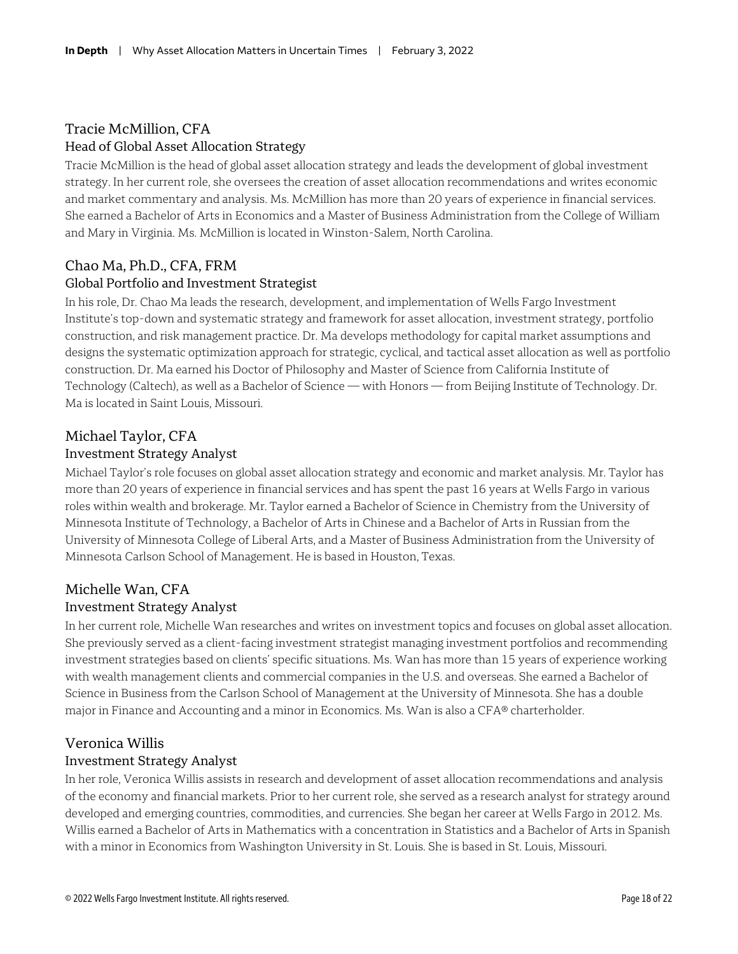#### Tracie McMillion, CFA Head of Global Asset Allocation Strategy

Tracie McMillion is the head of global asset allocation strategy and leads the development of global investment strategy. In her current role, she oversees the creation of asset allocation recommendations and writes economic and market commentary and analysis. Ms. McMillion has more than 20 years of experience in financial services. She earned a Bachelor of Arts in Economics and a Master of Business Administration from the College of William and Mary in Virginia. Ms. McMillion is located in Winston-Salem, North Carolina.

#### Chao Ma, Ph.D., CFA, FRM

#### Global Portfolio and Investment Strategist

In his role, Dr. Chao Ma leads the research, development, and implementation of Wells Fargo Investment Institute's top-down and systematic strategy and framework for asset allocation, investment strategy, portfolio construction, and risk management practice. Dr. Ma develops methodology for capital market assumptions and designs the systematic optimization approach for strategic, cyclical, and tactical asset allocation as well as portfolio construction. Dr. Ma earned his Doctor of Philosophy and Master of Science from California Institute of Technology (Caltech), as well as a Bachelor of Science — with Honors — from Beijing Institute of Technology. Dr. Ma is located in Saint Louis, Missouri.

#### Michael Taylor, CFA Investment Strategy Analyst

Michael Taylor's role focuses on global asset allocation strategy and economic and market analysis. Mr. Taylor has more than 20 years of experience in financial services and has spent the past 16 years at Wells Fargo in various roles within wealth and brokerage. Mr. Taylor earned a Bachelor of Science in Chemistry from the University of Minnesota Institute of Technology, a Bachelor of Arts in Chinese and a Bachelor of Arts in Russian from the University of Minnesota College of Liberal Arts, and a Master of Business Administration from the University of Minnesota Carlson School of Management. He is based in Houston, Texas.

#### Michelle Wan, CFA Investment Strategy Analyst

In her current role, Michelle Wan researches and writes on investment topics and focuses on global asset allocation. She previously served as a client-facing investment strategist managing investment portfolios and recommending investment strategies based on clients' specific situations. Ms. Wan has more than 15 years of experience working with wealth management clients and commercial companies in the U.S. and overseas. She earned a Bachelor of Science in Business from the Carlson School of Management at the University of Minnesota. She has a double major in Finance and Accounting and a minor in Economics. Ms. Wan is also a CFA® charterholder.

#### Veronica Willis

#### Investment Strategy Analyst

In her role, Veronica Willis assists in research and development of asset allocation recommendations and analysis of the economy and financial markets. Prior to her current role, she served as a research analyst for strategy around developed and emerging countries, commodities, and currencies. She began her career at Wells Fargo in 2012. Ms. Willis earned a Bachelor of Arts in Mathematics with a concentration in Statistics and a Bachelor of Arts in Spanish with a minor in Economics from Washington University in St. Louis. She is based in St. Louis, Missouri.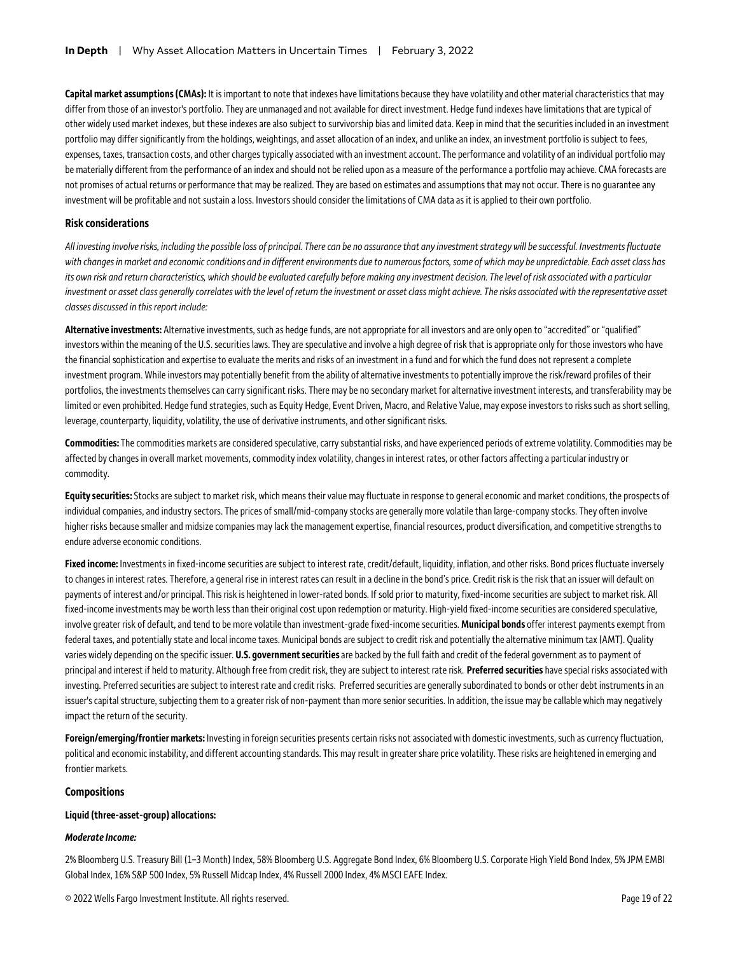**Capital market assumptions (CMAs):** It is important to note that indexes have limitations because they have volatility and other material characteristics that may differ from those of an investor's portfolio. They are unmanaged and not available for direct investment. Hedge fund indexes have limitations that are typical of other widely used market indexes, but these indexesare also subject to survivorship bias and limited data. Keep in mind that the securities included in an investment portfolio may differ significantly from the holdings, weightings, and asset allocation of an index, and unlike an index, an investment portfolio is subject to fees, expenses, taxes, transaction costs, and other charges typically associated with an investment account. The performance and volatility of an individual portfolio may be materially different from the performance of an index and should not be relied upon as a measure of the performance a portfolio may achieve. CMA forecasts are not promises of actual returns or performance that may be realized. They are based on estimates and assumptions that may not occur. There is no guarantee any investment will be profitable and not sustain a loss. Investors should consider the limitations of CMA data as it is applied to their own portfolio.

#### **Risk considerations**

*All investing involve risks, including the possible loss of principal. There can be no assurance that any investment strategy will be successful. Investments fluctuate with changes in market and economic conditions and in different environments due to numerous factors, some of which may be unpredictable. Each asset class has its own risk and return characteristics, which should be evaluated carefully before making any investment decision. The level of risk associated with a particular*  investment or asset class generally correlates with the level of return the investment or asset class might achieve. The risks associated with the representative asset *classes discussed in this report include:*

**Alternative investments:** Alternative investments, such as hedge funds, are not appropriate for all investors and are only open to "accredited" or "qualified" investors within the meaning of the U.S. securities laws. They are speculative and involve a high degree of risk that is appropriate only for those investors who have the financial sophistication and expertise to evaluate the merits and risks of an investment in a fund and for which the fund does not represent a complete investment program. While investors may potentially benefit from the ability of alternative investments to potentially improve the risk/reward profiles of their portfolios, the investments themselves can carry significant risks. There may be no secondary market for alternative investment interests, and transferability may be limited or even prohibited. Hedge fund strategies, such as Equity Hedge, Event Driven, Macro, and Relative Value, may expose investors to risks such as short selling, leverage, counterparty, liquidity, volatility, the use of derivative instruments, and other significant risks.

**Commodities:** The commodities markets are considered speculative, carry substantial risks, and have experienced periods of extreme volatility. Commodities may be affected by changes in overall market movements, commodity index volatility, changes in interest rates, or other factors affecting a particular industry or commodity.

**Equity securities:** Stocks are subject to market risk, which means their value may fluctuate in response to general economic and market conditions, the prospects of individual companies, and industry sectors. The prices of small/mid-company stocks are generally more volatile than large-company stocks. They often involve higher risks because smaller and midsize companies may lack the management expertise, financial resources, product diversification, and competitive strengths to endure adverse economic conditions.

**Fixed income:** Investments in fixed-income securities are subject to interest rate, credit/default, liquidity, inflation, and other risks. Bond prices fluctuate inversely to changes in interest rates. Therefore, a general rise in interest rates can result in a decline in the bond's price. Credit risk is the risk that an issuer will default on payments of interest and/or principal. This risk is heightened in lower-rated bonds. If sold prior to maturity, fixed-income securities are subject to market risk. All fixed-income investments may be worth less than their original cost upon redemption or maturity. High-yield fixed-income securities are considered speculative, involve greater risk of default, and tend to be more volatile than investment-grade fixed-income securities. **Municipal bonds** offer interest payments exempt from federal taxes, and potentially state and local income taxes. Municipal bonds are subject to credit risk and potentially the alternative minimum tax (AMT). Quality varies widely depending on the specific issuer. **U.S. government securities** are backed by the full faith and credit of the federal government as to payment of principaland interest if held to maturity. Although free from credit risk, they are subject to interest rate risk. **Preferred securities** have special risks associated with investing. Preferred securities are subject to interest rate and credit risks. Preferred securities are generally subordinated to bonds or other debt instruments in an issuer's capital structure, subjecting them to a greater risk of non-payment than more senior securities. In addition, the issue may be callable which may negatively impact the return of the security.

**Foreign/emerging/frontier markets:** Investing in foreign securities presents certain risks not associated with domestic investments, such as currency fluctuation, political and economic instability, and different accounting standards. This may result in greater share price volatility. These risks are heightened in emerging and frontier markets.

#### **Compositions**

#### **Liquid (three-asset-group) allocations:**

#### *Moderate Income:*

2% Bloomberg U.S. Treasury Bill (1–3 Month) Index, 58% Bloomberg U.S. Aggregate Bond Index, 6% Bloomberg U.S. Corporate High Yield Bond Index, 5% JPM EMBI Global Index, 16% S&P 500 Index, 5% Russell Midcap Index, 4% Russell 2000 Index, 4% MSCI EAFE Index.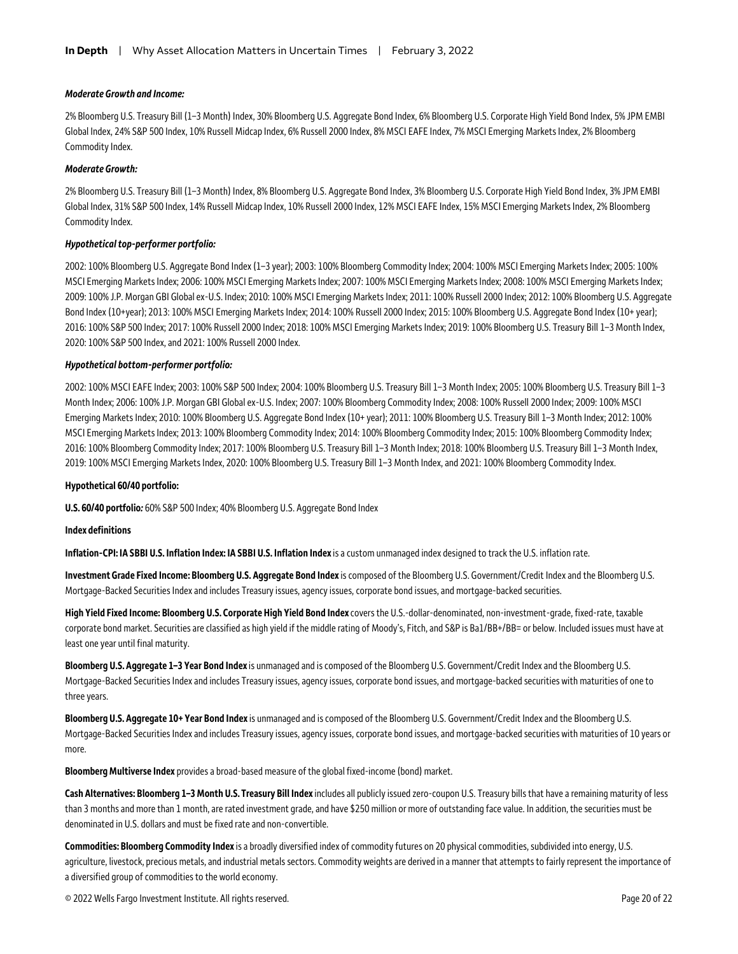#### *Moderate Growth and Income:*

2% Bloomberg U.S. Treasury Bill (1–3 Month) Index, 30% Bloomberg U.S. Aggregate Bond Index, 6% Bloomberg U.S. Corporate High Yield Bond Index, 5% JPM EMBI Global Index, 24% S&P 500 Index, 10% Russell Midcap Index, 6% Russell 2000 Index, 8% MSCI EAFE Index, 7% MSCI Emerging Markets Index, 2% Bloomberg Commodity Index.

#### *Moderate Growth:*

2% Bloomberg U.S. Treasury Bill (1–3 Month) Index, 8% Bloomberg U.S. Aggregate Bond Index, 3% Bloomberg U.S. Corporate High Yield Bond Index, 3% JPM EMBI Global Index, 31% S&P 500 Index, 14% Russell Midcap Index, 10% Russell 2000 Index, 12% MSCI EAFE Index, 15% MSCI Emerging Markets Index, 2% Bloomberg Commodity Index.

#### *Hypothetical top-performer portfolio:*

2002: 100% Bloomberg U.S. Aggregate Bond Index (1–3 year); 2003: 100% Bloomberg Commodity Index; 2004: 100% MSCI Emerging Markets Index; 2005: 100% MSCI Emerging Markets Index; 2006: 100% MSCI Emerging Markets Index; 2007: 100% MSCI Emerging Markets Index; 2008: 100% MSCI Emerging Markets Index; 2009: 100% J.P. Morgan GBI Global ex-U.S. Index; 2010: 100% MSCI Emerging Markets Index; 2011: 100% Russell 2000 Index; 2012: 100% Bloomberg U.S. Aggregate Bond Index (10+year); 2013: 100% MSCI Emerging Markets Index; 2014: 100% Russell 2000 Index; 2015: 100% Bloomberg U.S. Aggregate Bond Index (10+ year); 2016: 100% S&P 500 Index; 2017: 100% Russell 2000 Index; 2018: 100% MSCI Emerging Markets Index; 2019: 100% Bloomberg U.S. Treasury Bill 1–3 Month Index, 2020: 100% S&P 500 Index, and 2021: 100% Russell 2000 Index.

#### *Hypothetical bottom-performer portfolio:*

2002: 100% MSCI EAFE Index; 2003: 100% S&P 500 Index; 2004: 100% Bloomberg U.S. Treasury Bill 1–3 Month Index; 2005: 100% Bloomberg U.S. Treasury Bill 1–3 Month Index; 2006: 100% J.P. Morgan GBI Global ex-U.S. Index; 2007: 100% Bloomberg Commodity Index; 2008: 100% Russell 2000 Index; 2009: 100% MSCI Emerging Markets Index; 2010: 100% Bloomberg U.S. Aggregate Bond Index (10+ year); 2011: 100% Bloomberg U.S. Treasury Bill 1–3 Month Index; 2012: 100% MSCI Emerging Markets Index; 2013: 100% Bloomberg Commodity Index; 2014: 100% Bloomberg Commodity Index; 2015: 100% Bloomberg Commodity Index; 2016: 100% Bloomberg Commodity Index; 2017: 100% Bloomberg U.S. Treasury Bill 1–3 Month Index; 2018: 100% Bloomberg U.S. Treasury Bill 1–3 Month Index, 2019: 100% MSCI Emerging Markets Index, 2020: 100% Bloomberg U.S. Treasury Bill 1–3 Month Index, and 2021: 100% Bloomberg Commodity Index.

#### **Hypothetical 60/40 portfolio:**

**U.S. 60/40 portfolio***:* 60% S&P 500 Index; 40% Bloomberg U.S. Aggregate Bond Index

#### **Index definitions**

**Inflation-CPI: IA SBBI U.S. Inflation Index: IA SBBI U.S. Inflation Index** is a custom unmanaged index designed to track the U.S. inflation rate.

**Investment Grade Fixed Income: Bloomberg U.S. Aggregate Bond Index** is composed of the Bloomberg U.S. Government/Credit Index and the Bloomberg U.S. Mortgage-Backed Securities Index and includes Treasury issues, agency issues, corporate bond issues, and mortgage-backed securities.

**High Yield Fixed Income: Bloomberg U.S. Corporate High Yield Bond Index** covers the U.S.-dollar-denominated, non-investment-grade, fixed-rate, taxable corporate bond market. Securities are classified as high yield if the middle rating of Moody's, Fitch, and S&P is Ba1/BB+/BB= or below. Included issues must have at least one year until final maturity.

**Bloomberg U.S. Aggregate 1–3 Year Bond Index** is unmanaged and is composed of the Bloomberg U.S. Government/Credit Index and the Bloomberg U.S. Mortgage-Backed Securities Index and includes Treasury issues, agency issues, corporate bond issues, and mortgage-backed securities with maturities of one to three years.

**Bloomberg U.S. Aggregate 10+ Year Bond Index** is unmanaged and is composed of the Bloomberg U.S. Government/Credit Index and the Bloomberg U.S. Mortgage-Backed Securities Index and includes Treasury issues, agency issues, corporate bond issues, and mortgage-backed securities with maturities of 10 years or more.

**Bloomberg Multiverse Index** provides a broad-based measure of the global fixed-income (bond) market.

**Cash Alternatives: Bloomberg 1–3 Month U.S. Treasury Bill Index** includes all publicly issued zero-coupon U.S. Treasury bills that have a remaining maturity of less than 3 months and more than 1 month, are rated investment grade, and have \$250 million or more of outstanding face value. In addition, the securities must be denominated in U.S. dollars and must be fixed rate and non-convertible.

**Commodities: Bloomberg Commodity Index** is a broadly diversified index of commodity futures on 20 physical commodities, subdivided into energy, U.S. agriculture, livestock, precious metals, and industrial metals sectors. Commodity weights are derived in a manner that attempts to fairly represent the importance of a diversified group of commodities to the world economy.

© 2022 Wells Fargo Investment Institute. All rights reserved. Page 20 of 22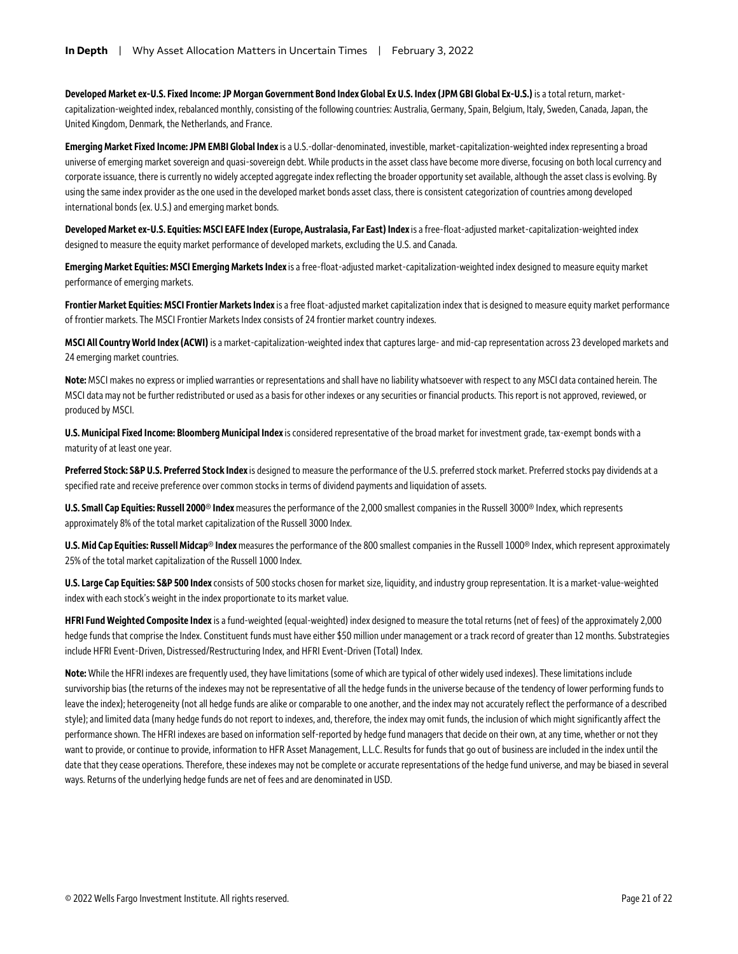**Developed Market ex-U.S. Fixed Income: JP Morgan Government Bond Index Global Ex U.S. Index (JPM GBI Global Ex-U.S.)** is a total return, marketcapitalization-weighted index, rebalanced monthly, consisting of the following countries: Australia, Germany, Spain, Belgium, Italy, Sweden, Canada, Japan, the United Kingdom, Denmark, the Netherlands, and France.

**Emerging Market Fixed Income: JPM EMBI Global Index** is a U.S.-dollar-denominated, investible, market-capitalization-weighted index representing a broad universe of emerging market sovereign and quasi-sovereign debt. While products in the asset class have become more diverse, focusing on both local currency and corporate issuance, there is currently no widely accepted aggregate index reflecting the broader opportunity set available, although the asset class is evolving. By using the same index provider as the one used in the developed market bonds asset class, there is consistent categorization of countries among developed international bonds (ex. U.S.) and emerging market bonds.

**Developed Market ex-U.S. Equities: MSCI EAFE Index (Europe, Australasia, Far East) Index** is a free-float-adjusted market-capitalization-weighted index designed to measure the equity market performance of developed markets, excluding the U.S. and Canada.

**Emerging Market Equities: MSCI Emerging Markets Index** is a free-float-adjusted market-capitalization-weighted index designed to measure equity market performance of emerging markets.

**Frontier Market Equities: MSCI Frontier Markets Index** is a free float-adjusted market capitalization index that is designed to measure equity market performance of frontier markets. The MSCI Frontier Markets Index consists of 24 frontier market country indexes.

**MSCI All Country World Index (ACWI)** is a market-capitalization-weighted index that captures large-and mid-cap representation across 23 developed markets and 24 emerging market countries.

**Note:** MSCI makes no express or implied warranties or representations and shall have no liability whatsoever with respect to any MSCI data contained herein. The MSCI data may not be further redistributed or used as a basis for other indexes or any securities or financial products. This report is not approved, reviewed, or produced by MSCI.

**U.S. Municipal Fixed Income: Bloomberg Municipal Index** is considered representative of the broad market for investment grade, tax-exempt bonds with a maturity of at least one year.

**Preferred Stock: S&P U.S. Preferred Stock Index** is designed to measure the performance of the U.S. preferred stock market. Preferred stocks pay dividends at a specified rate and receive preference over common stocks in terms of dividend payments and liquidation of assets.

**U.S. Small Cap Equities: Russell 2000® Index** measures the performance of the 2,000 smallest companies in the Russell 3000® Index, which represents approximately 8% of the total market capitalization of the Russell 3000 Index.

**U.S. Mid Cap Equities: Russell Midcap® Index** measures the performance of the 800 smallest companies in the Russell 1000® Index, which represent approximately 25% of the total market capitalization of the Russell 1000 Index.

**U.S. Large Cap Equities: S&P 500 Index** consists of 500 stocks chosen for market size, liquidity, and industry group representation. It is a market-value-weighted index with each stock's weight in the index proportionate to its market value.

**HFRI Fund Weighted Composite Index**is a fund-weighted (equal-weighted) index designed to measure the total returns (net of fees) of the approximately 2,000 hedge funds that comprise the Index. Constituent funds must have either \$50 million under management or a track record of greater than 12 months. Substrategies include HFRI Event-Driven, Distressed/Restructuring Index, and HFRI Event-Driven (Total) Index.

Note: While the HFRI indexes are frequently used, they have limitations (some of which are typical of other widely used indexes). These limitations include survivorship bias (the returns of the indexes may not be representative of all the hedge funds in the universe because of the tendency of lower performing funds to leave the index); heterogeneity (not all hedge funds are alike or comparable to one another, and the index may not accurately reflect the performance of a described style); and limited data (many hedge funds do not report to indexes, and, therefore, the index may omit funds, the inclusion of which might significantly affect the performance shown. The HFRI indexes are based on information self-reported by hedge fund managers that decide on their own, at any time, whether or not they want to provide, or continue to provide, information to HFR Asset Management, L.L.C. Results for funds that go out of business are included in the index until the date that they cease operations. Therefore, these indexes may not be complete or accurate representations of the hedge fund universe, and may be biased in several ways. Returns of the underlying hedge funds are net of fees and are denominated in USD.